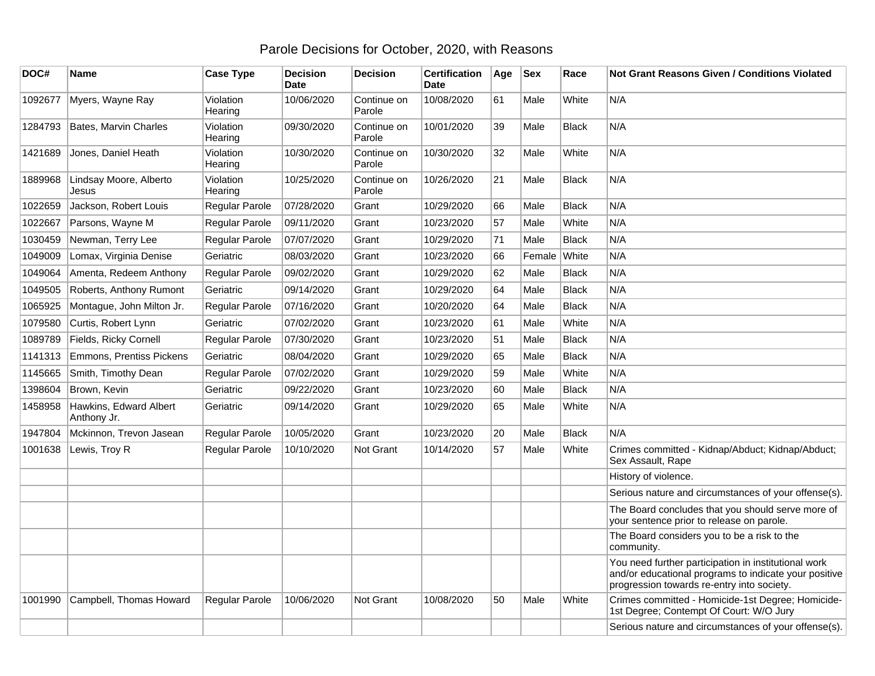## Parole Decisions for October, 2020, with Reasons

| DOC#    | <b>Name</b>                           | <b>Case Type</b>      | <b>Decision</b><br><b>Date</b> | <b>Decision</b>       | <b>Certification</b><br><b>Date</b> | Age | <b>Sex</b> | Race         | Not Grant Reasons Given / Conditions Violated                                                                                                               |
|---------|---------------------------------------|-----------------------|--------------------------------|-----------------------|-------------------------------------|-----|------------|--------------|-------------------------------------------------------------------------------------------------------------------------------------------------------------|
| 1092677 | Myers, Wayne Ray                      | Violation<br>Hearing  | 10/06/2020                     | Continue on<br>Parole | 10/08/2020                          | 61  | Male       | White        | N/A                                                                                                                                                         |
| 1284793 | Bates, Marvin Charles                 | Violation<br>Hearing  | 09/30/2020                     | Continue on<br>Parole | 10/01/2020                          | 39  | Male       | <b>Black</b> | N/A                                                                                                                                                         |
| 1421689 | Jones, Daniel Heath                   | Violation<br>Hearing  | 10/30/2020                     | Continue on<br>Parole | 10/30/2020                          | 32  | Male       | White        | N/A                                                                                                                                                         |
| 1889968 | Lindsay Moore, Alberto<br>Jesus       | Violation<br>Hearing  | 10/25/2020                     | Continue on<br>Parole | 10/26/2020                          | 21  | Male       | <b>Black</b> | N/A                                                                                                                                                         |
| 1022659 | Jackson, Robert Louis                 | Regular Parole        | 07/28/2020                     | Grant                 | 10/29/2020                          | 66  | Male       | <b>Black</b> | N/A                                                                                                                                                         |
| 1022667 | Parsons, Wayne M                      | Regular Parole        | 09/11/2020                     | Grant                 | 10/23/2020                          | 57  | Male       | White        | N/A                                                                                                                                                         |
| 1030459 | Newman, Terry Lee                     | Regular Parole        | 07/07/2020                     | Grant                 | 10/29/2020                          | 71  | Male       | <b>Black</b> | N/A                                                                                                                                                         |
| 1049009 | Lomax, Virginia Denise                | Geriatric             | 08/03/2020                     | Grant                 | 10/23/2020                          | 66  | Female     | <b>White</b> | N/A                                                                                                                                                         |
| 1049064 | Amenta, Redeem Anthony                | Regular Parole        | 09/02/2020                     | Grant                 | 10/29/2020                          | 62  | Male       | <b>Black</b> | N/A                                                                                                                                                         |
| 1049505 | Roberts, Anthony Rumont               | Geriatric             | 09/14/2020                     | Grant                 | 10/29/2020                          | 64  | Male       | <b>Black</b> | N/A                                                                                                                                                         |
| 1065925 | Montague, John Milton Jr.             | Regular Parole        | 07/16/2020                     | Grant                 | 10/20/2020                          | 64  | Male       | <b>Black</b> | N/A                                                                                                                                                         |
| 1079580 | Curtis, Robert Lynn                   | Geriatric             | 07/02/2020                     | Grant                 | 10/23/2020                          | 61  | Male       | White        | N/A                                                                                                                                                         |
| 1089789 | Fields, Ricky Cornell                 | Regular Parole        | 07/30/2020                     | Grant                 | 10/23/2020                          | 51  | Male       | <b>Black</b> | N/A                                                                                                                                                         |
| 1141313 | Emmons, Prentiss Pickens              | Geriatric             | 08/04/2020                     | Grant                 | 10/29/2020                          | 65  | Male       | <b>Black</b> | N/A                                                                                                                                                         |
| 1145665 | Smith, Timothy Dean                   | Regular Parole        | 07/02/2020                     | Grant                 | 10/29/2020                          | 59  | Male       | White        | N/A                                                                                                                                                         |
| 1398604 | Brown, Kevin                          | Geriatric             | 09/22/2020                     | Grant                 | 10/23/2020                          | 60  | Male       | <b>Black</b> | N/A                                                                                                                                                         |
| 1458958 | Hawkins, Edward Albert<br>Anthony Jr. | Geriatric             | 09/14/2020                     | Grant                 | 10/29/2020                          | 65  | Male       | White        | N/A                                                                                                                                                         |
| 1947804 | Mckinnon, Trevon Jasean               | Regular Parole        | 10/05/2020                     | Grant                 | 10/23/2020                          | 20  | Male       | <b>Black</b> | N/A                                                                                                                                                         |
| 1001638 | Lewis, Troy R                         | Regular Parole        | 10/10/2020                     | Not Grant             | 10/14/2020                          | 57  | Male       | White        | Crimes committed - Kidnap/Abduct; Kidnap/Abduct;<br>Sex Assault, Rape                                                                                       |
|         |                                       |                       |                                |                       |                                     |     |            |              | History of violence.                                                                                                                                        |
|         |                                       |                       |                                |                       |                                     |     |            |              | Serious nature and circumstances of your offense(s).                                                                                                        |
|         |                                       |                       |                                |                       |                                     |     |            |              | The Board concludes that you should serve more of<br>your sentence prior to release on parole.                                                              |
|         |                                       |                       |                                |                       |                                     |     |            |              | The Board considers you to be a risk to the<br>community.                                                                                                   |
|         |                                       |                       |                                |                       |                                     |     |            |              | You need further participation in institutional work<br>and/or educational programs to indicate your positive<br>progression towards re-entry into society. |
| 1001990 | Campbell, Thomas Howard               | <b>Regular Parole</b> | 10/06/2020                     | Not Grant             | 10/08/2020                          | 50  | Male       | White        | Crimes committed - Homicide-1st Degree; Homicide-<br>1st Degree; Contempt Of Court: W/O Jury                                                                |
|         |                                       |                       |                                |                       |                                     |     |            |              | Serious nature and circumstances of your offense(s).                                                                                                        |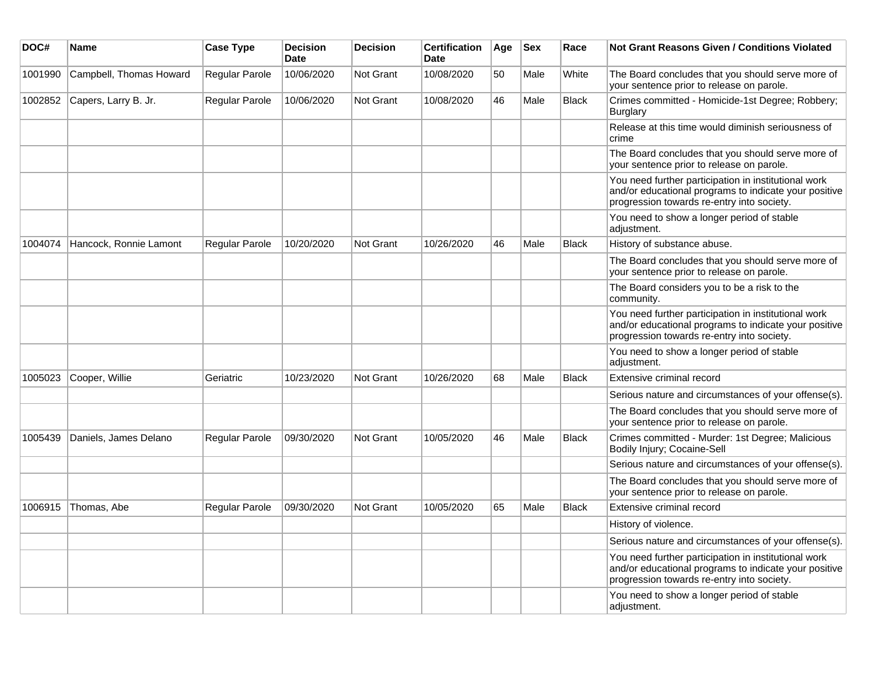| DOC#    | Name                    | <b>Case Type</b> | <b>Decision</b><br><b>Date</b> | <b>Decision</b>  | <b>Certification</b><br><b>Date</b> | Age | <b>Sex</b> | Race         | <b>Not Grant Reasons Given / Conditions Violated</b>                                                                                                        |
|---------|-------------------------|------------------|--------------------------------|------------------|-------------------------------------|-----|------------|--------------|-------------------------------------------------------------------------------------------------------------------------------------------------------------|
| 1001990 | Campbell, Thomas Howard | Regular Parole   | 10/06/2020                     | Not Grant        | 10/08/2020                          | 50  | Male       | White        | The Board concludes that you should serve more of<br>your sentence prior to release on parole.                                                              |
| 1002852 | Capers, Larry B. Jr.    | Regular Parole   | 10/06/2020                     | Not Grant        | 10/08/2020                          | 46  | Male       | <b>Black</b> | Crimes committed - Homicide-1st Degree; Robbery;<br><b>Burglary</b>                                                                                         |
|         |                         |                  |                                |                  |                                     |     |            |              | Release at this time would diminish seriousness of<br>crime                                                                                                 |
|         |                         |                  |                                |                  |                                     |     |            |              | The Board concludes that you should serve more of<br>your sentence prior to release on parole.                                                              |
|         |                         |                  |                                |                  |                                     |     |            |              | You need further participation in institutional work<br>and/or educational programs to indicate your positive<br>progression towards re-entry into society. |
|         |                         |                  |                                |                  |                                     |     |            |              | You need to show a longer period of stable<br>adjustment.                                                                                                   |
| 1004074 | Hancock, Ronnie Lamont  | Regular Parole   | 10/20/2020                     | <b>Not Grant</b> | 10/26/2020                          | 46  | Male       | <b>Black</b> | History of substance abuse.                                                                                                                                 |
|         |                         |                  |                                |                  |                                     |     |            |              | The Board concludes that you should serve more of<br>your sentence prior to release on parole.                                                              |
|         |                         |                  |                                |                  |                                     |     |            |              | The Board considers you to be a risk to the<br>community.                                                                                                   |
|         |                         |                  |                                |                  |                                     |     |            |              | You need further participation in institutional work<br>and/or educational programs to indicate your positive<br>progression towards re-entry into society. |
|         |                         |                  |                                |                  |                                     |     |            |              | You need to show a longer period of stable<br>adjustment.                                                                                                   |
| 1005023 | Cooper, Willie          | Geriatric        | 10/23/2020                     | <b>Not Grant</b> | 10/26/2020                          | 68  | Male       | <b>Black</b> | Extensive criminal record                                                                                                                                   |
|         |                         |                  |                                |                  |                                     |     |            |              | Serious nature and circumstances of your offense(s).                                                                                                        |
|         |                         |                  |                                |                  |                                     |     |            |              | The Board concludes that you should serve more of<br>your sentence prior to release on parole.                                                              |
| 1005439 | Daniels, James Delano   | Regular Parole   | 09/30/2020                     | Not Grant        | 10/05/2020                          | 46  | Male       | <b>Black</b> | Crimes committed - Murder: 1st Degree; Malicious<br>Bodily Injury; Cocaine-Sell                                                                             |
|         |                         |                  |                                |                  |                                     |     |            |              | Serious nature and circumstances of your offense(s).                                                                                                        |
|         |                         |                  |                                |                  |                                     |     |            |              | The Board concludes that you should serve more of<br>your sentence prior to release on parole.                                                              |
| 1006915 | Thomas, Abe             | Regular Parole   | 09/30/2020                     | Not Grant        | 10/05/2020                          | 65  | Male       | <b>Black</b> | Extensive criminal record                                                                                                                                   |
|         |                         |                  |                                |                  |                                     |     |            |              | History of violence.                                                                                                                                        |
|         |                         |                  |                                |                  |                                     |     |            |              | Serious nature and circumstances of your offense(s).                                                                                                        |
|         |                         |                  |                                |                  |                                     |     |            |              | You need further participation in institutional work<br>and/or educational programs to indicate your positive<br>progression towards re-entry into society. |
|         |                         |                  |                                |                  |                                     |     |            |              | You need to show a longer period of stable<br>adjustment.                                                                                                   |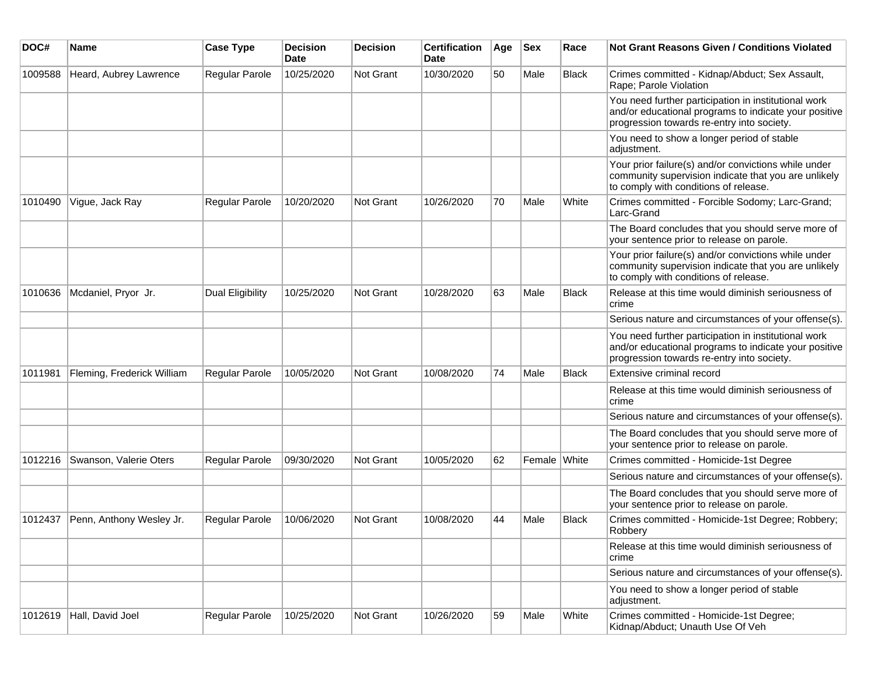| DOC#    | Name                       | <b>Case Type</b>      | <b>Decision</b><br><b>Date</b> | <b>Decision</b>  | <b>Certification</b><br><b>Date</b> | Age | <b>Sex</b>   | Race         | Not Grant Reasons Given / Conditions Violated                                                                                                               |
|---------|----------------------------|-----------------------|--------------------------------|------------------|-------------------------------------|-----|--------------|--------------|-------------------------------------------------------------------------------------------------------------------------------------------------------------|
| 1009588 | Heard, Aubrey Lawrence     | Regular Parole        | 10/25/2020                     | Not Grant        | 10/30/2020                          | 50  | Male         | Black        | Crimes committed - Kidnap/Abduct; Sex Assault,<br>Rape; Parole Violation                                                                                    |
|         |                            |                       |                                |                  |                                     |     |              |              | You need further participation in institutional work<br>and/or educational programs to indicate your positive<br>progression towards re-entry into society. |
|         |                            |                       |                                |                  |                                     |     |              |              | You need to show a longer period of stable<br>adjustment.                                                                                                   |
|         |                            |                       |                                |                  |                                     |     |              |              | Your prior failure(s) and/or convictions while under<br>community supervision indicate that you are unlikely<br>to comply with conditions of release.       |
| 1010490 | Vigue, Jack Ray            | <b>Regular Parole</b> | 10/20/2020                     | Not Grant        | 10/26/2020                          | 70  | Male         | White        | Crimes committed - Forcible Sodomy; Larc-Grand;<br>Larc-Grand                                                                                               |
|         |                            |                       |                                |                  |                                     |     |              |              | The Board concludes that you should serve more of<br>your sentence prior to release on parole.                                                              |
|         |                            |                       |                                |                  |                                     |     |              |              | Your prior failure(s) and/or convictions while under<br>community supervision indicate that you are unlikely<br>to comply with conditions of release.       |
| 1010636 | Mcdaniel, Pryor Jr.        | Dual Eligibility      | 10/25/2020                     | Not Grant        | 10/28/2020                          | 63  | Male         | <b>Black</b> | Release at this time would diminish seriousness of<br>crime                                                                                                 |
|         |                            |                       |                                |                  |                                     |     |              |              | Serious nature and circumstances of your offense(s).                                                                                                        |
|         |                            |                       |                                |                  |                                     |     |              |              | You need further participation in institutional work<br>and/or educational programs to indicate your positive<br>progression towards re-entry into society. |
| 1011981 | Fleming, Frederick William | <b>Regular Parole</b> | 10/05/2020                     | <b>Not Grant</b> | 10/08/2020                          | 74  | Male         | <b>Black</b> | Extensive criminal record                                                                                                                                   |
|         |                            |                       |                                |                  |                                     |     |              |              | Release at this time would diminish seriousness of<br>crime                                                                                                 |
|         |                            |                       |                                |                  |                                     |     |              |              | Serious nature and circumstances of your offense(s).                                                                                                        |
|         |                            |                       |                                |                  |                                     |     |              |              | The Board concludes that you should serve more of<br>your sentence prior to release on parole.                                                              |
| 1012216 | Swanson, Valerie Oters     | Regular Parole        | 09/30/2020                     | Not Grant        | 10/05/2020                          | 62  | Female White |              | Crimes committed - Homicide-1st Degree                                                                                                                      |
|         |                            |                       |                                |                  |                                     |     |              |              | Serious nature and circumstances of your offense(s).                                                                                                        |
|         |                            |                       |                                |                  |                                     |     |              |              | The Board concludes that you should serve more of<br>your sentence prior to release on parole.                                                              |
| 1012437 | Penn, Anthony Wesley Jr.   | Regular Parole        | 10/06/2020                     | <b>Not Grant</b> | 10/08/2020                          | 44  | Male         | <b>Black</b> | Crimes committed - Homicide-1st Degree; Robbery;<br>Robbery                                                                                                 |
|         |                            |                       |                                |                  |                                     |     |              |              | Release at this time would diminish seriousness of<br>crime                                                                                                 |
|         |                            |                       |                                |                  |                                     |     |              |              | Serious nature and circumstances of your offense(s).                                                                                                        |
|         |                            |                       |                                |                  |                                     |     |              |              | You need to show a longer period of stable<br>adjustment.                                                                                                   |
| 1012619 | Hall, David Joel           | Regular Parole        | 10/25/2020                     | Not Grant        | 10/26/2020                          | 59  | Male         | White        | Crimes committed - Homicide-1st Degree;<br>Kidnap/Abduct; Unauth Use Of Veh                                                                                 |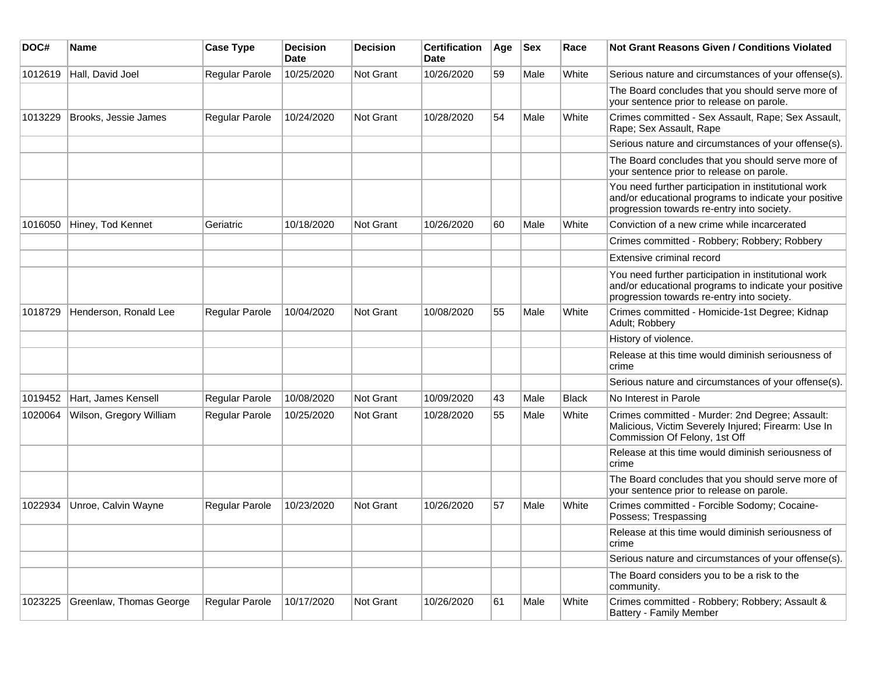| DOC#    | Name                    | <b>Case Type</b> | <b>Decision</b><br><b>Date</b> | <b>Decision</b> | <b>Certification</b><br>Date | Age | <b>Sex</b> | Race         | <b>Not Grant Reasons Given / Conditions Violated</b>                                                                                                        |
|---------|-------------------------|------------------|--------------------------------|-----------------|------------------------------|-----|------------|--------------|-------------------------------------------------------------------------------------------------------------------------------------------------------------|
| 1012619 | Hall, David Joel        | Regular Parole   | 10/25/2020                     | Not Grant       | 10/26/2020                   | 59  | Male       | White        | Serious nature and circumstances of your offense(s).                                                                                                        |
|         |                         |                  |                                |                 |                              |     |            |              | The Board concludes that you should serve more of<br>your sentence prior to release on parole.                                                              |
| 1013229 | Brooks, Jessie James    | Regular Parole   | 10/24/2020                     | Not Grant       | 10/28/2020                   | 54  | Male       | White        | Crimes committed - Sex Assault, Rape; Sex Assault,<br>Rape; Sex Assault, Rape                                                                               |
|         |                         |                  |                                |                 |                              |     |            |              | Serious nature and circumstances of your offense(s).                                                                                                        |
|         |                         |                  |                                |                 |                              |     |            |              | The Board concludes that you should serve more of<br>your sentence prior to release on parole.                                                              |
|         |                         |                  |                                |                 |                              |     |            |              | You need further participation in institutional work<br>and/or educational programs to indicate your positive<br>progression towards re-entry into society. |
| 1016050 | Hiney, Tod Kennet       | Geriatric        | 10/18/2020                     | Not Grant       | 10/26/2020                   | 60  | Male       | White        | Conviction of a new crime while incarcerated                                                                                                                |
|         |                         |                  |                                |                 |                              |     |            |              | Crimes committed - Robbery; Robbery; Robbery                                                                                                                |
|         |                         |                  |                                |                 |                              |     |            |              | Extensive criminal record                                                                                                                                   |
|         |                         |                  |                                |                 |                              |     |            |              | You need further participation in institutional work<br>and/or educational programs to indicate your positive<br>progression towards re-entry into society. |
| 1018729 | Henderson, Ronald Lee   | Regular Parole   | 10/04/2020                     | Not Grant       | 10/08/2020                   | 55  | Male       | White        | Crimes committed - Homicide-1st Degree; Kidnap<br>Adult; Robbery                                                                                            |
|         |                         |                  |                                |                 |                              |     |            |              | History of violence.                                                                                                                                        |
|         |                         |                  |                                |                 |                              |     |            |              | Release at this time would diminish seriousness of<br>crime                                                                                                 |
|         |                         |                  |                                |                 |                              |     |            |              | Serious nature and circumstances of your offense(s).                                                                                                        |
| 1019452 | Hart, James Kensell     | Regular Parole   | 10/08/2020                     | Not Grant       | 10/09/2020                   | 43  | Male       | <b>Black</b> | No Interest in Parole                                                                                                                                       |
| 1020064 | Wilson, Gregory William | Regular Parole   | 10/25/2020                     | Not Grant       | 10/28/2020                   | 55  | Male       | White        | Crimes committed - Murder: 2nd Degree; Assault:<br>Malicious, Victim Severely Injured; Firearm: Use In<br>Commission Of Felony, 1st Off                     |
|         |                         |                  |                                |                 |                              |     |            |              | Release at this time would diminish seriousness of<br>crime                                                                                                 |
|         |                         |                  |                                |                 |                              |     |            |              | The Board concludes that you should serve more of<br>your sentence prior to release on parole.                                                              |
| 1022934 | Unroe, Calvin Wayne     | Regular Parole   | 10/23/2020                     | Not Grant       | 10/26/2020                   | 57  | Male       | White        | Crimes committed - Forcible Sodomy; Cocaine-<br>Possess; Trespassing                                                                                        |
|         |                         |                  |                                |                 |                              |     |            |              | Release at this time would diminish seriousness of<br>crime                                                                                                 |
|         |                         |                  |                                |                 |                              |     |            |              | Serious nature and circumstances of your offense(s).                                                                                                        |
|         |                         |                  |                                |                 |                              |     |            |              | The Board considers you to be a risk to the<br>community.                                                                                                   |
| 1023225 | Greenlaw, Thomas George | Regular Parole   | 10/17/2020                     | Not Grant       | 10/26/2020                   | 61  | Male       | White        | Crimes committed - Robbery; Robbery; Assault &<br>Battery - Family Member                                                                                   |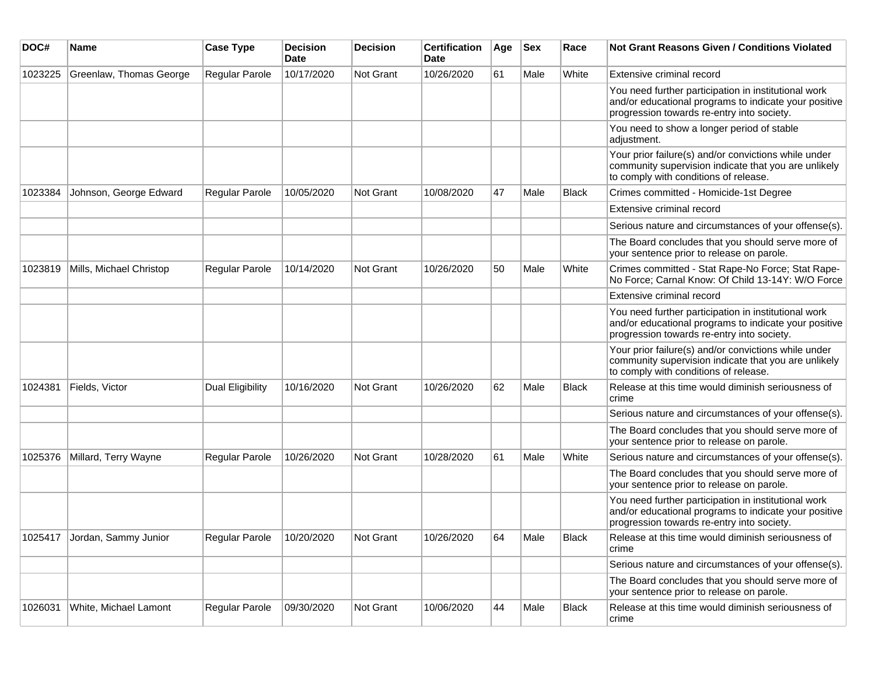| DOC#    | Name                    | <b>Case Type</b>        | <b>Decision</b><br><b>Date</b> | <b>Decision</b> | <b>Certification</b><br>Date | Age | <b>Sex</b> | Race         | Not Grant Reasons Given / Conditions Violated                                                                                                               |
|---------|-------------------------|-------------------------|--------------------------------|-----------------|------------------------------|-----|------------|--------------|-------------------------------------------------------------------------------------------------------------------------------------------------------------|
| 1023225 | Greenlaw, Thomas George | Regular Parole          | 10/17/2020                     | Not Grant       | 10/26/2020                   | 61  | Male       | White        | Extensive criminal record                                                                                                                                   |
|         |                         |                         |                                |                 |                              |     |            |              | You need further participation in institutional work<br>and/or educational programs to indicate your positive<br>progression towards re-entry into society. |
|         |                         |                         |                                |                 |                              |     |            |              | You need to show a longer period of stable<br>adjustment.                                                                                                   |
|         |                         |                         |                                |                 |                              |     |            |              | Your prior failure(s) and/or convictions while under<br>community supervision indicate that you are unlikely<br>to comply with conditions of release.       |
| 1023384 | Johnson, George Edward  | <b>Regular Parole</b>   | 10/05/2020                     | Not Grant       | 10/08/2020                   | 47  | Male       | <b>Black</b> | Crimes committed - Homicide-1st Degree                                                                                                                      |
|         |                         |                         |                                |                 |                              |     |            |              | Extensive criminal record                                                                                                                                   |
|         |                         |                         |                                |                 |                              |     |            |              | Serious nature and circumstances of your offense(s).                                                                                                        |
|         |                         |                         |                                |                 |                              |     |            |              | The Board concludes that you should serve more of<br>your sentence prior to release on parole.                                                              |
| 1023819 | Mills, Michael Christop | <b>Regular Parole</b>   | 10/14/2020                     | Not Grant       | 10/26/2020                   | 50  | Male       | White        | Crimes committed - Stat Rape-No Force; Stat Rape-<br>No Force; Carnal Know: Of Child 13-14Y: W/O Force                                                      |
|         |                         |                         |                                |                 |                              |     |            |              | Extensive criminal record                                                                                                                                   |
|         |                         |                         |                                |                 |                              |     |            |              | You need further participation in institutional work<br>and/or educational programs to indicate your positive<br>progression towards re-entry into society. |
|         |                         |                         |                                |                 |                              |     |            |              | Your prior failure(s) and/or convictions while under<br>community supervision indicate that you are unlikely<br>to comply with conditions of release.       |
| 1024381 | Fields, Victor          | <b>Dual Eligibility</b> | 10/16/2020                     | Not Grant       | 10/26/2020                   | 62  | Male       | <b>Black</b> | Release at this time would diminish seriousness of<br>crime                                                                                                 |
|         |                         |                         |                                |                 |                              |     |            |              | Serious nature and circumstances of your offense(s).                                                                                                        |
|         |                         |                         |                                |                 |                              |     |            |              | The Board concludes that you should serve more of<br>your sentence prior to release on parole.                                                              |
| 1025376 | Millard, Terry Wayne    | Regular Parole          | 10/26/2020                     | Not Grant       | 10/28/2020                   | 61  | Male       | White        | Serious nature and circumstances of your offense(s).                                                                                                        |
|         |                         |                         |                                |                 |                              |     |            |              | The Board concludes that you should serve more of<br>your sentence prior to release on parole.                                                              |
|         |                         |                         |                                |                 |                              |     |            |              | You need further participation in institutional work<br>and/or educational programs to indicate your positive<br>progression towards re-entry into society. |
| 1025417 | Jordan, Sammy Junior    | Regular Parole          | 10/20/2020                     | Not Grant       | 10/26/2020                   | 64  | Male       | <b>Black</b> | Release at this time would diminish seriousness of<br>crime                                                                                                 |
|         |                         |                         |                                |                 |                              |     |            |              | Serious nature and circumstances of your offense(s).                                                                                                        |
|         |                         |                         |                                |                 |                              |     |            |              | The Board concludes that you should serve more of<br>your sentence prior to release on parole.                                                              |
| 1026031 | White, Michael Lamont   | Regular Parole          | 09/30/2020                     | Not Grant       | 10/06/2020                   | 44  | Male       | Black        | Release at this time would diminish seriousness of<br>crime                                                                                                 |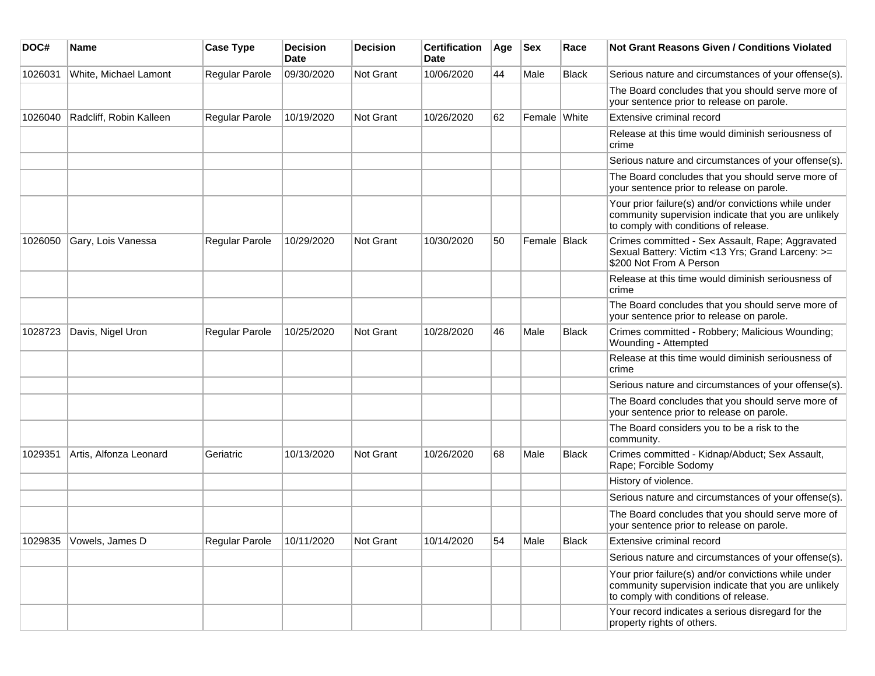| DOC#    | Name                    | <b>Case Type</b> | <b>Decision</b><br><b>Date</b> | <b>Decision</b> | <b>Certification</b><br>Date | Age | <b>Sex</b>     | Race         | <b>Not Grant Reasons Given / Conditions Violated</b>                                                                                                  |
|---------|-------------------------|------------------|--------------------------------|-----------------|------------------------------|-----|----------------|--------------|-------------------------------------------------------------------------------------------------------------------------------------------------------|
| 1026031 | White, Michael Lamont   | Regular Parole   | 09/30/2020                     | Not Grant       | 10/06/2020                   | 44  | Male           | <b>Black</b> | Serious nature and circumstances of your offense(s).                                                                                                  |
|         |                         |                  |                                |                 |                              |     |                |              | The Board concludes that you should serve more of<br>your sentence prior to release on parole.                                                        |
| 1026040 | Radcliff, Robin Kalleen | Regular Parole   | 10/19/2020                     | Not Grant       | 10/26/2020                   | 62  | Female White   |              | Extensive criminal record                                                                                                                             |
|         |                         |                  |                                |                 |                              |     |                |              | Release at this time would diminish seriousness of<br>crime                                                                                           |
|         |                         |                  |                                |                 |                              |     |                |              | Serious nature and circumstances of your offense(s).                                                                                                  |
|         |                         |                  |                                |                 |                              |     |                |              | The Board concludes that you should serve more of<br>your sentence prior to release on parole.                                                        |
|         |                         |                  |                                |                 |                              |     |                |              | Your prior failure(s) and/or convictions while under<br>community supervision indicate that you are unlikely<br>to comply with conditions of release. |
| 1026050 | Gary, Lois Vanessa      | Regular Parole   | 10/29/2020                     | Not Grant       | 10/30/2020                   | 50  | Female   Black |              | Crimes committed - Sex Assault, Rape; Aggravated<br>Sexual Battery: Victim <13 Yrs; Grand Larceny: >=<br>\$200 Not From A Person                      |
|         |                         |                  |                                |                 |                              |     |                |              | Release at this time would diminish seriousness of<br>crime                                                                                           |
|         |                         |                  |                                |                 |                              |     |                |              | The Board concludes that you should serve more of<br>your sentence prior to release on parole.                                                        |
| 1028723 | Davis, Nigel Uron       | Regular Parole   | 10/25/2020                     | Not Grant       | 10/28/2020                   | 46  | Male           | <b>Black</b> | Crimes committed - Robbery; Malicious Wounding;<br>Wounding - Attempted                                                                               |
|         |                         |                  |                                |                 |                              |     |                |              | Release at this time would diminish seriousness of<br>crime                                                                                           |
|         |                         |                  |                                |                 |                              |     |                |              | Serious nature and circumstances of your offense(s).                                                                                                  |
|         |                         |                  |                                |                 |                              |     |                |              | The Board concludes that you should serve more of<br>your sentence prior to release on parole.                                                        |
|         |                         |                  |                                |                 |                              |     |                |              | The Board considers you to be a risk to the<br>community.                                                                                             |
| 1029351 | Artis, Alfonza Leonard  | Geriatric        | 10/13/2020                     | Not Grant       | 10/26/2020                   | 68  | Male           | <b>Black</b> | Crimes committed - Kidnap/Abduct; Sex Assault,<br>Rape; Forcible Sodomy                                                                               |
|         |                         |                  |                                |                 |                              |     |                |              | History of violence.                                                                                                                                  |
|         |                         |                  |                                |                 |                              |     |                |              | Serious nature and circumstances of your offense(s).                                                                                                  |
|         |                         |                  |                                |                 |                              |     |                |              | The Board concludes that you should serve more of<br>your sentence prior to release on parole.                                                        |
| 1029835 | Vowels, James D         | Regular Parole   | 10/11/2020                     | Not Grant       | 10/14/2020                   | 54  | Male           | Black        | Extensive criminal record                                                                                                                             |
|         |                         |                  |                                |                 |                              |     |                |              | Serious nature and circumstances of your offense(s).                                                                                                  |
|         |                         |                  |                                |                 |                              |     |                |              | Your prior failure(s) and/or convictions while under<br>community supervision indicate that you are unlikely<br>to comply with conditions of release. |
|         |                         |                  |                                |                 |                              |     |                |              | Your record indicates a serious disregard for the<br>property rights of others.                                                                       |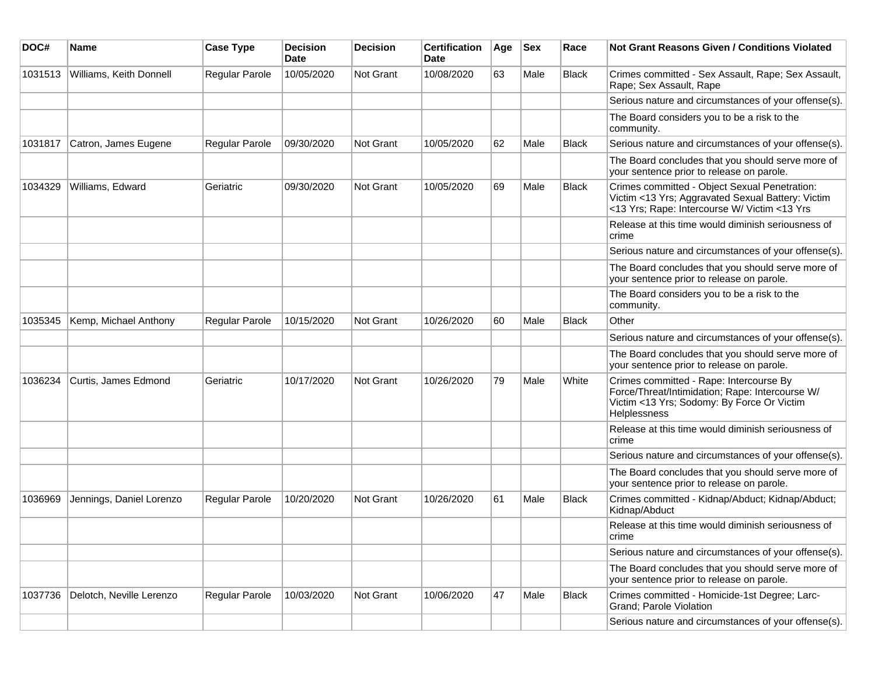| DOC#    | Name                     | <b>Case Type</b>      | <b>Decision</b><br><b>Date</b> | <b>Decision</b> | <b>Certification</b><br>Date | Age | $ $ Sex | Race         | Not Grant Reasons Given / Conditions Violated                                                                                                                   |
|---------|--------------------------|-----------------------|--------------------------------|-----------------|------------------------------|-----|---------|--------------|-----------------------------------------------------------------------------------------------------------------------------------------------------------------|
| 1031513 | Williams, Keith Donnell  | Regular Parole        | 10/05/2020                     | Not Grant       | 10/08/2020                   | 63  | Male    | <b>Black</b> | Crimes committed - Sex Assault, Rape; Sex Assault,<br>Rape; Sex Assault, Rape                                                                                   |
|         |                          |                       |                                |                 |                              |     |         |              | Serious nature and circumstances of your offense(s).                                                                                                            |
|         |                          |                       |                                |                 |                              |     |         |              | The Board considers you to be a risk to the<br>community.                                                                                                       |
| 1031817 | Catron, James Eugene     | Regular Parole        | 09/30/2020                     | Not Grant       | 10/05/2020                   | 62  | Male    | <b>Black</b> | Serious nature and circumstances of your offense(s).                                                                                                            |
|         |                          |                       |                                |                 |                              |     |         |              | The Board concludes that you should serve more of<br>your sentence prior to release on parole.                                                                  |
| 1034329 | Williams, Edward         | Geriatric             | 09/30/2020                     | Not Grant       | 10/05/2020                   | 69  | Male    | <b>Black</b> | Crimes committed - Object Sexual Penetration:<br>Victim <13 Yrs; Aggravated Sexual Battery: Victim<br><13 Yrs; Rape: Intercourse W/ Victim <13 Yrs              |
|         |                          |                       |                                |                 |                              |     |         |              | Release at this time would diminish seriousness of<br>crime                                                                                                     |
|         |                          |                       |                                |                 |                              |     |         |              | Serious nature and circumstances of your offense(s).                                                                                                            |
|         |                          |                       |                                |                 |                              |     |         |              | The Board concludes that you should serve more of<br>your sentence prior to release on parole.                                                                  |
|         |                          |                       |                                |                 |                              |     |         |              | The Board considers you to be a risk to the<br>community.                                                                                                       |
| 1035345 | Kemp, Michael Anthony    | Regular Parole        | 10/15/2020                     | Not Grant       | 10/26/2020                   | 60  | Male    | <b>Black</b> | Other                                                                                                                                                           |
|         |                          |                       |                                |                 |                              |     |         |              | Serious nature and circumstances of your offense(s).                                                                                                            |
|         |                          |                       |                                |                 |                              |     |         |              | The Board concludes that you should serve more of<br>your sentence prior to release on parole.                                                                  |
| 1036234 | Curtis, James Edmond     | Geriatric             | 10/17/2020                     | Not Grant       | 10/26/2020                   | 79  | Male    | White        | Crimes committed - Rape: Intercourse By<br>Force/Threat/Intimidation; Rape: Intercourse W/<br>Victim <13 Yrs; Sodomy: By Force Or Victim<br><b>Helplessness</b> |
|         |                          |                       |                                |                 |                              |     |         |              | Release at this time would diminish seriousness of<br>crime                                                                                                     |
|         |                          |                       |                                |                 |                              |     |         |              | Serious nature and circumstances of your offense(s).                                                                                                            |
|         |                          |                       |                                |                 |                              |     |         |              | The Board concludes that you should serve more of<br>your sentence prior to release on parole.                                                                  |
| 1036969 | Jennings, Daniel Lorenzo | <b>Regular Parole</b> | 10/20/2020                     | Not Grant       | 10/26/2020                   | 61  | Male    | <b>Black</b> | Crimes committed - Kidnap/Abduct; Kidnap/Abduct;<br>Kidnap/Abduct                                                                                               |
|         |                          |                       |                                |                 |                              |     |         |              | Release at this time would diminish seriousness of<br>crime                                                                                                     |
|         |                          |                       |                                |                 |                              |     |         |              | Serious nature and circumstances of your offense(s).                                                                                                            |
|         |                          |                       |                                |                 |                              |     |         |              | The Board concludes that you should serve more of<br>your sentence prior to release on parole.                                                                  |
| 1037736 | Delotch, Neville Lerenzo | Regular Parole        | 10/03/2020                     | Not Grant       | 10/06/2020                   | 47  | Male    | <b>Black</b> | Crimes committed - Homicide-1st Degree; Larc-<br>Grand; Parole Violation                                                                                        |
|         |                          |                       |                                |                 |                              |     |         |              | Serious nature and circumstances of your offense(s).                                                                                                            |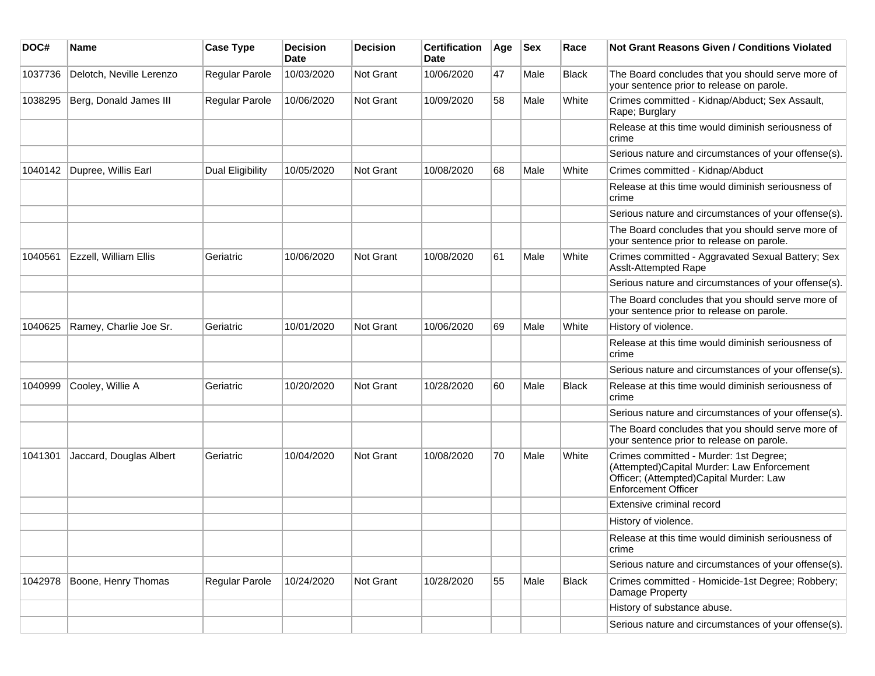| DOC#    | Name                     | <b>Case Type</b> | <b>Decision</b><br>Date | <b>Decision</b>  | <b>Certification</b><br>Date | Age | <b>Sex</b> | Race         | <b>Not Grant Reasons Given / Conditions Violated</b>                                                                                                          |
|---------|--------------------------|------------------|-------------------------|------------------|------------------------------|-----|------------|--------------|---------------------------------------------------------------------------------------------------------------------------------------------------------------|
| 1037736 | Delotch, Neville Lerenzo | Regular Parole   | 10/03/2020              | Not Grant        | 10/06/2020                   | 47  | Male       | <b>Black</b> | The Board concludes that you should serve more of<br>your sentence prior to release on parole.                                                                |
| 1038295 | Berg, Donald James III   | Regular Parole   | 10/06/2020              | Not Grant        | 10/09/2020                   | 58  | Male       | White        | Crimes committed - Kidnap/Abduct; Sex Assault,<br>Rape; Burglary                                                                                              |
|         |                          |                  |                         |                  |                              |     |            |              | Release at this time would diminish seriousness of<br>crime                                                                                                   |
|         |                          |                  |                         |                  |                              |     |            |              | Serious nature and circumstances of your offense(s).                                                                                                          |
| 1040142 | Dupree, Willis Earl      | Dual Eligibility | 10/05/2020              | <b>Not Grant</b> | 10/08/2020                   | 68  | Male       | White        | Crimes committed - Kidnap/Abduct                                                                                                                              |
|         |                          |                  |                         |                  |                              |     |            |              | Release at this time would diminish seriousness of<br>crime                                                                                                   |
|         |                          |                  |                         |                  |                              |     |            |              | Serious nature and circumstances of your offense(s).                                                                                                          |
|         |                          |                  |                         |                  |                              |     |            |              | The Board concludes that you should serve more of<br>your sentence prior to release on parole.                                                                |
| 1040561 | Ezzell, William Ellis    | Geriatric        | 10/06/2020              | <b>Not Grant</b> | 10/08/2020                   | 61  | Male       | White        | Crimes committed - Aggravated Sexual Battery; Sex<br>Asslt-Attempted Rape                                                                                     |
|         |                          |                  |                         |                  |                              |     |            |              | Serious nature and circumstances of your offense(s).                                                                                                          |
|         |                          |                  |                         |                  |                              |     |            |              | The Board concludes that you should serve more of<br>your sentence prior to release on parole.                                                                |
| 1040625 | Ramey, Charlie Joe Sr.   | Geriatric        | 10/01/2020              | <b>Not Grant</b> | 10/06/2020                   | 69  | Male       | White        | History of violence.                                                                                                                                          |
|         |                          |                  |                         |                  |                              |     |            |              | Release at this time would diminish seriousness of<br>crime                                                                                                   |
|         |                          |                  |                         |                  |                              |     |            |              | Serious nature and circumstances of your offense(s).                                                                                                          |
| 1040999 | Cooley, Willie A         | Geriatric        | 10/20/2020              | Not Grant        | 10/28/2020                   | 60  | Male       | <b>Black</b> | Release at this time would diminish seriousness of<br>crime                                                                                                   |
|         |                          |                  |                         |                  |                              |     |            |              | Serious nature and circumstances of your offense(s).                                                                                                          |
|         |                          |                  |                         |                  |                              |     |            |              | The Board concludes that you should serve more of<br>your sentence prior to release on parole.                                                                |
| 1041301 | Jaccard, Douglas Albert  | Geriatric        | 10/04/2020              | Not Grant        | 10/08/2020                   | 70  | Male       | White        | Crimes committed - Murder: 1st Degree;<br>(Attempted)Capital Murder: Law Enforcement<br>Officer; (Attempted)Capital Murder: Law<br><b>Enforcement Officer</b> |
|         |                          |                  |                         |                  |                              |     |            |              | Extensive criminal record                                                                                                                                     |
|         |                          |                  |                         |                  |                              |     |            |              | History of violence.                                                                                                                                          |
|         |                          |                  |                         |                  |                              |     |            |              | Release at this time would diminish seriousness of<br>crime                                                                                                   |
|         |                          |                  |                         |                  |                              |     |            |              | Serious nature and circumstances of your offense(s).                                                                                                          |
| 1042978 | Boone, Henry Thomas      | Regular Parole   | 10/24/2020              | Not Grant        | 10/28/2020                   | 55  | Male       | Black        | Crimes committed - Homicide-1st Degree; Robbery;<br>Damage Property                                                                                           |
|         |                          |                  |                         |                  |                              |     |            |              | History of substance abuse.                                                                                                                                   |
|         |                          |                  |                         |                  |                              |     |            |              | Serious nature and circumstances of your offense(s).                                                                                                          |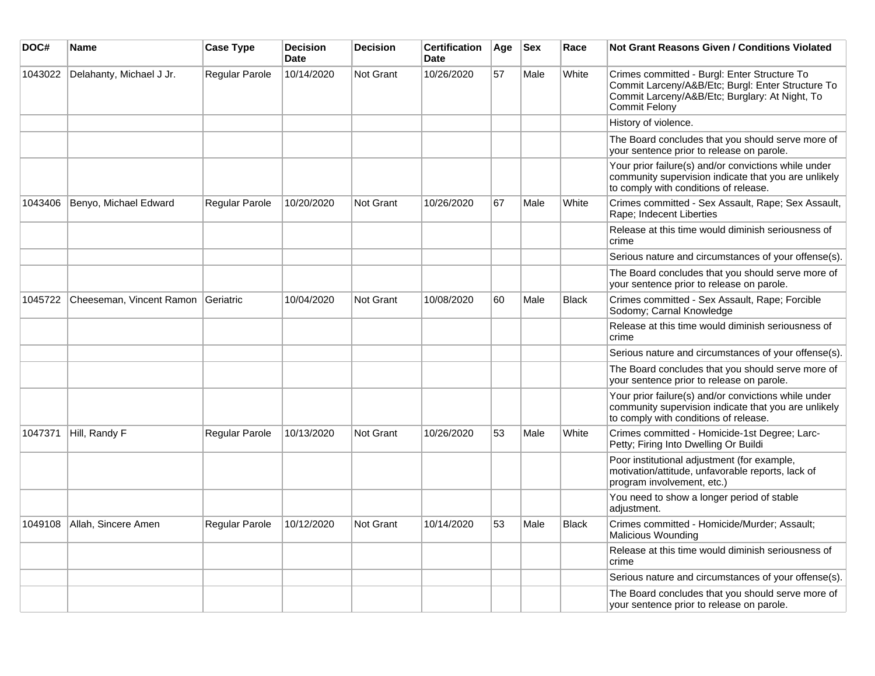| DOC#    | Name                     | <b>Case Type</b>      | <b>Decision</b><br><b>Date</b> | <b>Decision</b> | <b>Certification</b><br><b>Date</b> | Age | <b>Sex</b> | Race         | <b>Not Grant Reasons Given / Conditions Violated</b>                                                                                                                        |
|---------|--------------------------|-----------------------|--------------------------------|-----------------|-------------------------------------|-----|------------|--------------|-----------------------------------------------------------------------------------------------------------------------------------------------------------------------------|
| 1043022 | Delahanty, Michael J Jr. | Regular Parole        | 10/14/2020                     | Not Grant       | 10/26/2020                          | 57  | Male       | White        | Crimes committed - Burgl: Enter Structure To<br>Commit Larceny/A&B/Etc; Burgl: Enter Structure To<br>Commit Larceny/A&B/Etc; Burglary: At Night, To<br><b>Commit Felony</b> |
|         |                          |                       |                                |                 |                                     |     |            |              | History of violence.                                                                                                                                                        |
|         |                          |                       |                                |                 |                                     |     |            |              | The Board concludes that you should serve more of<br>your sentence prior to release on parole.                                                                              |
|         |                          |                       |                                |                 |                                     |     |            |              | Your prior failure(s) and/or convictions while under<br>community supervision indicate that you are unlikely<br>to comply with conditions of release.                       |
| 1043406 | Benyo, Michael Edward    | <b>Regular Parole</b> | 10/20/2020                     | Not Grant       | 10/26/2020                          | 67  | Male       | White        | Crimes committed - Sex Assault, Rape; Sex Assault,<br>Rape; Indecent Liberties                                                                                              |
|         |                          |                       |                                |                 |                                     |     |            |              | Release at this time would diminish seriousness of<br>crime                                                                                                                 |
|         |                          |                       |                                |                 |                                     |     |            |              | Serious nature and circumstances of your offense(s).                                                                                                                        |
|         |                          |                       |                                |                 |                                     |     |            |              | The Board concludes that you should serve more of<br>your sentence prior to release on parole.                                                                              |
| 1045722 | Cheeseman, Vincent Ramon | Geriatric             | 10/04/2020                     | Not Grant       | 10/08/2020                          | 60  | Male       | <b>Black</b> | Crimes committed - Sex Assault, Rape; Forcible<br>Sodomy; Carnal Knowledge                                                                                                  |
|         |                          |                       |                                |                 |                                     |     |            |              | Release at this time would diminish seriousness of<br>crime                                                                                                                 |
|         |                          |                       |                                |                 |                                     |     |            |              | Serious nature and circumstances of your offense(s).                                                                                                                        |
|         |                          |                       |                                |                 |                                     |     |            |              | The Board concludes that you should serve more of<br>your sentence prior to release on parole.                                                                              |
|         |                          |                       |                                |                 |                                     |     |            |              | Your prior failure(s) and/or convictions while under<br>community supervision indicate that you are unlikely<br>to comply with conditions of release.                       |
| 1047371 | Hill, Randy F            | Regular Parole        | 10/13/2020                     | Not Grant       | 10/26/2020                          | 53  | Male       | White        | Crimes committed - Homicide-1st Degree; Larc-<br>Petty; Firing Into Dwelling Or Buildi                                                                                      |
|         |                          |                       |                                |                 |                                     |     |            |              | Poor institutional adjustment (for example,<br>motivation/attitude, unfavorable reports, lack of<br>program involvement, etc.)                                              |
|         |                          |                       |                                |                 |                                     |     |            |              | You need to show a longer period of stable<br>adjustment.                                                                                                                   |
| 1049108 | Allah, Sincere Amen      | Regular Parole        | 10/12/2020                     | Not Grant       | 10/14/2020                          | 53  | Male       | <b>Black</b> | Crimes committed - Homicide/Murder; Assault;<br>Malicious Wounding                                                                                                          |
|         |                          |                       |                                |                 |                                     |     |            |              | Release at this time would diminish seriousness of<br>crime                                                                                                                 |
|         |                          |                       |                                |                 |                                     |     |            |              | Serious nature and circumstances of your offense(s).                                                                                                                        |
|         |                          |                       |                                |                 |                                     |     |            |              | The Board concludes that you should serve more of<br>your sentence prior to release on parole.                                                                              |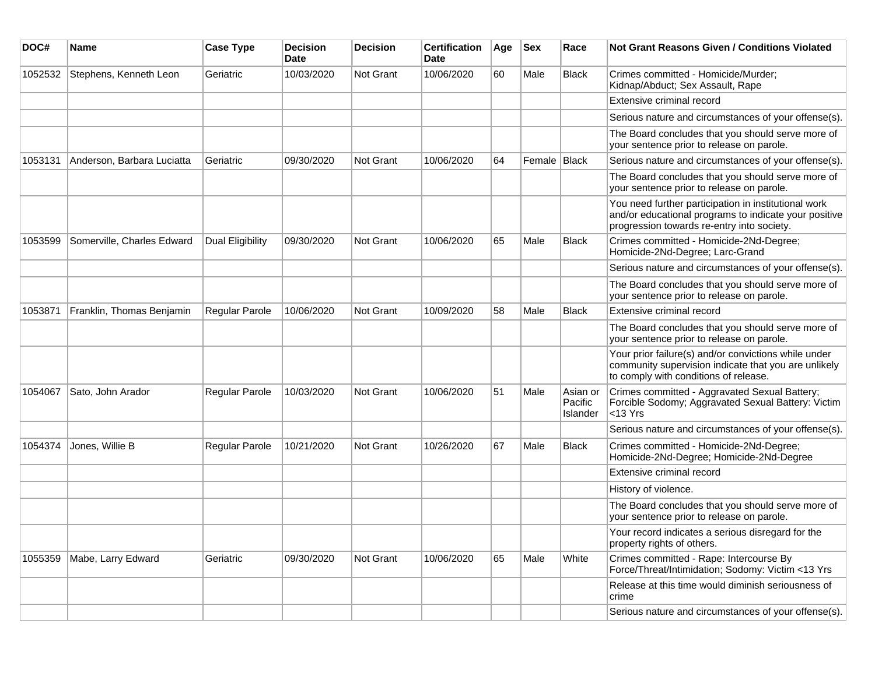| DOC#    | <b>Name</b>                | <b>Case Type</b> | <b>Decision</b><br><b>Date</b> | <b>Decision</b>  | <b>Certification</b><br>Date | Age | <b>Sex</b>   | Race                            | <b>Not Grant Reasons Given / Conditions Violated</b>                                                                                                        |
|---------|----------------------------|------------------|--------------------------------|------------------|------------------------------|-----|--------------|---------------------------------|-------------------------------------------------------------------------------------------------------------------------------------------------------------|
| 1052532 | Stephens, Kenneth Leon     | Geriatric        | 10/03/2020                     | Not Grant        | 10/06/2020                   | 60  | Male         | <b>Black</b>                    | Crimes committed - Homicide/Murder;<br>Kidnap/Abduct; Sex Assault, Rape                                                                                     |
|         |                            |                  |                                |                  |                              |     |              |                                 | Extensive criminal record                                                                                                                                   |
|         |                            |                  |                                |                  |                              |     |              |                                 | Serious nature and circumstances of your offense(s).                                                                                                        |
|         |                            |                  |                                |                  |                              |     |              |                                 | The Board concludes that you should serve more of<br>your sentence prior to release on parole.                                                              |
| 1053131 | Anderson, Barbara Luciatta | Geriatric        | 09/30/2020                     | <b>Not Grant</b> | 10/06/2020                   | 64  | Female Black |                                 | Serious nature and circumstances of your offense(s).                                                                                                        |
|         |                            |                  |                                |                  |                              |     |              |                                 | The Board concludes that you should serve more of<br>your sentence prior to release on parole.                                                              |
|         |                            |                  |                                |                  |                              |     |              |                                 | You need further participation in institutional work<br>and/or educational programs to indicate your positive<br>progression towards re-entry into society. |
| 1053599 | Somerville, Charles Edward | Dual Eligibility | 09/30/2020                     | <b>Not Grant</b> | 10/06/2020                   | 65  | Male         | <b>Black</b>                    | Crimes committed - Homicide-2Nd-Degree;<br>Homicide-2Nd-Degree; Larc-Grand                                                                                  |
|         |                            |                  |                                |                  |                              |     |              |                                 | Serious nature and circumstances of your offense(s).                                                                                                        |
|         |                            |                  |                                |                  |                              |     |              |                                 | The Board concludes that you should serve more of<br>your sentence prior to release on parole.                                                              |
| 1053871 | Franklin, Thomas Benjamin  | Regular Parole   | 10/06/2020                     | Not Grant        | 10/09/2020                   | 58  | Male         | Black                           | Extensive criminal record                                                                                                                                   |
|         |                            |                  |                                |                  |                              |     |              |                                 | The Board concludes that you should serve more of<br>your sentence prior to release on parole.                                                              |
|         |                            |                  |                                |                  |                              |     |              |                                 | Your prior failure(s) and/or convictions while under<br>community supervision indicate that you are unlikely<br>to comply with conditions of release.       |
| 1054067 | Sato, John Arador          | Regular Parole   | 10/03/2020                     | <b>Not Grant</b> | 10/06/2020                   | 51  | Male         | Asian or<br>Pacific<br>Islander | Crimes committed - Aggravated Sexual Battery;<br>Forcible Sodomy; Aggravated Sexual Battery: Victim<br>$<$ 13 Yrs                                           |
|         |                            |                  |                                |                  |                              |     |              |                                 | Serious nature and circumstances of your offense(s).                                                                                                        |
| 1054374 | Jones, Willie B            | Regular Parole   | 10/21/2020                     | <b>Not Grant</b> | 10/26/2020                   | 67  | Male         | <b>Black</b>                    | Crimes committed - Homicide-2Nd-Degree;<br>Homicide-2Nd-Degree; Homicide-2Nd-Degree                                                                         |
|         |                            |                  |                                |                  |                              |     |              |                                 | Extensive criminal record                                                                                                                                   |
|         |                            |                  |                                |                  |                              |     |              |                                 | History of violence.                                                                                                                                        |
|         |                            |                  |                                |                  |                              |     |              |                                 | The Board concludes that you should serve more of<br>your sentence prior to release on parole.                                                              |
|         |                            |                  |                                |                  |                              |     |              |                                 | Your record indicates a serious disregard for the<br>property rights of others.                                                                             |
| 1055359 | Mabe, Larry Edward         | Geriatric        | 09/30/2020                     | Not Grant        | 10/06/2020                   | 65  | Male         | White                           | Crimes committed - Rape: Intercourse By<br>Force/Threat/Intimidation; Sodomy: Victim <13 Yrs                                                                |
|         |                            |                  |                                |                  |                              |     |              |                                 | Release at this time would diminish seriousness of<br>crime                                                                                                 |
|         |                            |                  |                                |                  |                              |     |              |                                 | Serious nature and circumstances of your offense(s).                                                                                                        |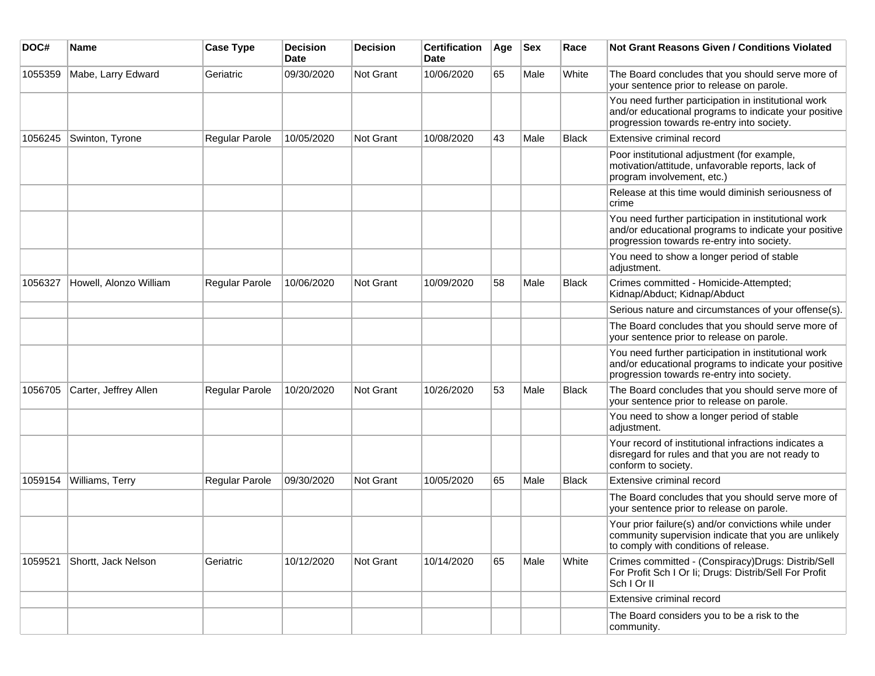| DOC#    | <b>Name</b>            | <b>Case Type</b>      | <b>Decision</b><br><b>Date</b> | <b>Decision</b> | <b>Certification</b><br>Date | Age | <b>Sex</b> | Race         | <b>Not Grant Reasons Given / Conditions Violated</b>                                                                                                        |
|---------|------------------------|-----------------------|--------------------------------|-----------------|------------------------------|-----|------------|--------------|-------------------------------------------------------------------------------------------------------------------------------------------------------------|
| 1055359 | Mabe, Larry Edward     | Geriatric             | 09/30/2020                     | Not Grant       | 10/06/2020                   | 65  | Male       | White        | The Board concludes that you should serve more of<br>your sentence prior to release on parole.                                                              |
|         |                        |                       |                                |                 |                              |     |            |              | You need further participation in institutional work<br>and/or educational programs to indicate your positive<br>progression towards re-entry into society. |
| 1056245 | Swinton, Tyrone        | Regular Parole        | 10/05/2020                     | Not Grant       | 10/08/2020                   | 43  | Male       | <b>Black</b> | Extensive criminal record                                                                                                                                   |
|         |                        |                       |                                |                 |                              |     |            |              | Poor institutional adjustment (for example,<br>motivation/attitude, unfavorable reports, lack of<br>program involvement, etc.)                              |
|         |                        |                       |                                |                 |                              |     |            |              | Release at this time would diminish seriousness of<br>crime                                                                                                 |
|         |                        |                       |                                |                 |                              |     |            |              | You need further participation in institutional work<br>and/or educational programs to indicate your positive<br>progression towards re-entry into society. |
|         |                        |                       |                                |                 |                              |     |            |              | You need to show a longer period of stable<br>adjustment.                                                                                                   |
| 1056327 | Howell, Alonzo William | <b>Regular Parole</b> | 10/06/2020                     | Not Grant       | 10/09/2020                   | 58  | Male       | <b>Black</b> | Crimes committed - Homicide-Attempted;<br>Kidnap/Abduct; Kidnap/Abduct                                                                                      |
|         |                        |                       |                                |                 |                              |     |            |              | Serious nature and circumstances of your offense(s).                                                                                                        |
|         |                        |                       |                                |                 |                              |     |            |              | The Board concludes that you should serve more of<br>your sentence prior to release on parole.                                                              |
|         |                        |                       |                                |                 |                              |     |            |              | You need further participation in institutional work<br>and/or educational programs to indicate your positive<br>progression towards re-entry into society. |
| 1056705 | Carter, Jeffrey Allen  | Regular Parole        | 10/20/2020                     | Not Grant       | 10/26/2020                   | 53  | Male       | <b>Black</b> | The Board concludes that you should serve more of<br>your sentence prior to release on parole.                                                              |
|         |                        |                       |                                |                 |                              |     |            |              | You need to show a longer period of stable<br>adjustment.                                                                                                   |
|         |                        |                       |                                |                 |                              |     |            |              | Your record of institutional infractions indicates a<br>disregard for rules and that you are not ready to<br>conform to society.                            |
| 1059154 | Williams, Terry        | Regular Parole        | 09/30/2020                     | Not Grant       | 10/05/2020                   | 65  | Male       | <b>Black</b> | Extensive criminal record                                                                                                                                   |
|         |                        |                       |                                |                 |                              |     |            |              | The Board concludes that you should serve more of<br>your sentence prior to release on parole.                                                              |
|         |                        |                       |                                |                 |                              |     |            |              | Your prior failure(s) and/or convictions while under<br>community supervision indicate that you are unlikely<br>to comply with conditions of release.       |
| 1059521 | Shortt, Jack Nelson    | Geriatric             | 10/12/2020                     | Not Grant       | 10/14/2020                   | 65  | Male       | White        | Crimes committed - (Conspiracy) Drugs: Distrib/Sell<br>For Profit Sch I Or Ii; Drugs: Distrib/Sell For Profit<br>Sch I Or II                                |
|         |                        |                       |                                |                 |                              |     |            |              | Extensive criminal record                                                                                                                                   |
|         |                        |                       |                                |                 |                              |     |            |              | The Board considers you to be a risk to the<br>community.                                                                                                   |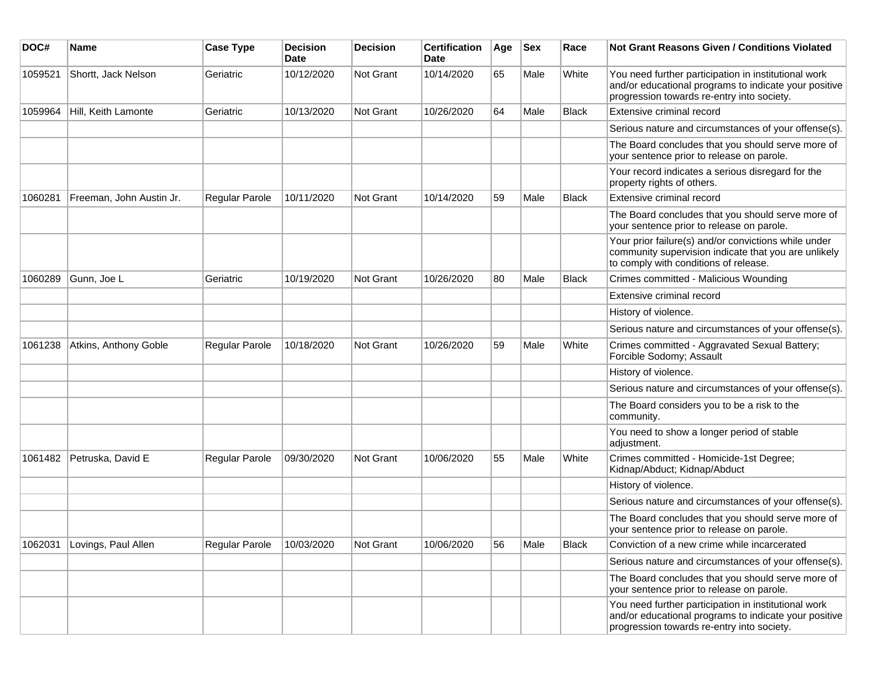| DOC#    | <b>Name</b>              | <b>Case Type</b> | <b>Decision</b><br><b>Date</b> | <b>Decision</b> | <b>Certification</b><br>Date | Age | Sex  | Race         | Not Grant Reasons Given / Conditions Violated                                                                                                               |
|---------|--------------------------|------------------|--------------------------------|-----------------|------------------------------|-----|------|--------------|-------------------------------------------------------------------------------------------------------------------------------------------------------------|
| 1059521 | Shortt, Jack Nelson      | Geriatric        | 10/12/2020                     | Not Grant       | 10/14/2020                   | 65  | Male | White        | You need further participation in institutional work<br>and/or educational programs to indicate your positive<br>progression towards re-entry into society. |
| 1059964 | Hill, Keith Lamonte      | Geriatric        | 10/13/2020                     | Not Grant       | 10/26/2020                   | 64  | Male | <b>Black</b> | Extensive criminal record                                                                                                                                   |
|         |                          |                  |                                |                 |                              |     |      |              | Serious nature and circumstances of your offense(s).                                                                                                        |
|         |                          |                  |                                |                 |                              |     |      |              | The Board concludes that you should serve more of<br>your sentence prior to release on parole.                                                              |
|         |                          |                  |                                |                 |                              |     |      |              | Your record indicates a serious disregard for the<br>property rights of others.                                                                             |
| 1060281 | Freeman, John Austin Jr. | Regular Parole   | 10/11/2020                     | Not Grant       | 10/14/2020                   | 59  | Male | <b>Black</b> | Extensive criminal record                                                                                                                                   |
|         |                          |                  |                                |                 |                              |     |      |              | The Board concludes that you should serve more of<br>your sentence prior to release on parole.                                                              |
|         |                          |                  |                                |                 |                              |     |      |              | Your prior failure(s) and/or convictions while under<br>community supervision indicate that you are unlikely<br>to comply with conditions of release.       |
| 1060289 | Gunn, Joe L              | Geriatric        | 10/19/2020                     | Not Grant       | 10/26/2020                   | 80  | Male | <b>Black</b> | Crimes committed - Malicious Wounding                                                                                                                       |
|         |                          |                  |                                |                 |                              |     |      |              | Extensive criminal record                                                                                                                                   |
|         |                          |                  |                                |                 |                              |     |      |              | History of violence.                                                                                                                                        |
|         |                          |                  |                                |                 |                              |     |      |              | Serious nature and circumstances of your offense(s).                                                                                                        |
| 1061238 | Atkins, Anthony Goble    | Regular Parole   | 10/18/2020                     | Not Grant       | 10/26/2020                   | 59  | Male | White        | Crimes committed - Aggravated Sexual Battery;<br>Forcible Sodomy; Assault                                                                                   |
|         |                          |                  |                                |                 |                              |     |      |              | History of violence.                                                                                                                                        |
|         |                          |                  |                                |                 |                              |     |      |              | Serious nature and circumstances of your offense(s).                                                                                                        |
|         |                          |                  |                                |                 |                              |     |      |              | The Board considers you to be a risk to the<br>community.                                                                                                   |
|         |                          |                  |                                |                 |                              |     |      |              | You need to show a longer period of stable<br>adjustment.                                                                                                   |
| 1061482 | Petruska, David E        | Regular Parole   | 09/30/2020                     | Not Grant       | 10/06/2020                   | 55  | Male | White        | Crimes committed - Homicide-1st Degree;<br>Kidnap/Abduct; Kidnap/Abduct                                                                                     |
|         |                          |                  |                                |                 |                              |     |      |              | History of violence.                                                                                                                                        |
|         |                          |                  |                                |                 |                              |     |      |              | Serious nature and circumstances of your offense(s).                                                                                                        |
|         |                          |                  |                                |                 |                              |     |      |              | The Board concludes that you should serve more of<br>your sentence prior to release on parole.                                                              |
| 1062031 | Lovings, Paul Allen      | Regular Parole   | 10/03/2020                     | Not Grant       | 10/06/2020                   | 56  | Male | <b>Black</b> | Conviction of a new crime while incarcerated                                                                                                                |
|         |                          |                  |                                |                 |                              |     |      |              | Serious nature and circumstances of your offense(s).                                                                                                        |
|         |                          |                  |                                |                 |                              |     |      |              | The Board concludes that you should serve more of<br>your sentence prior to release on parole.                                                              |
|         |                          |                  |                                |                 |                              |     |      |              | You need further participation in institutional work<br>and/or educational programs to indicate your positive<br>progression towards re-entry into society. |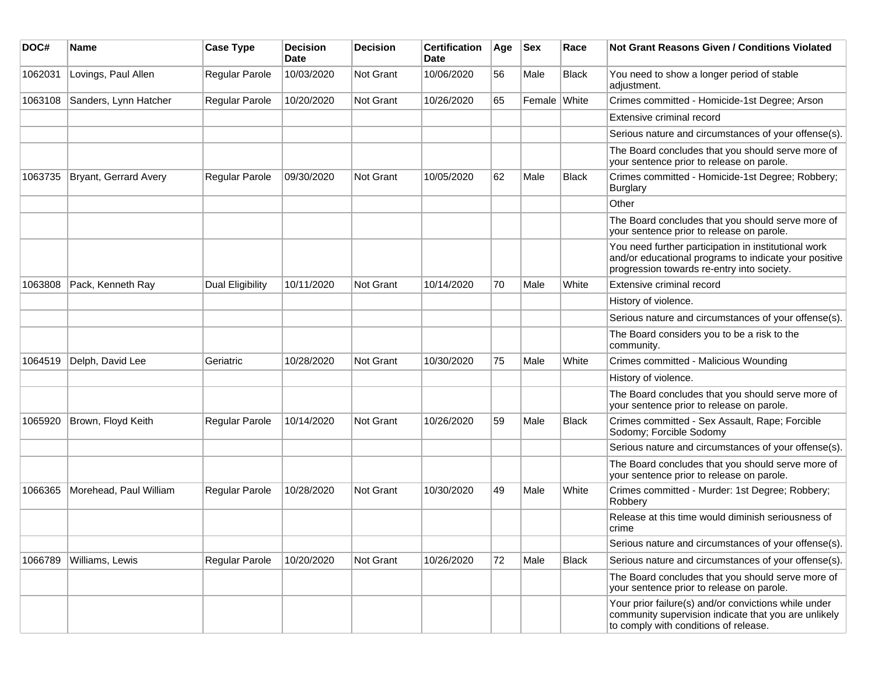| DOC#    | <b>Name</b>            | <b>Case Type</b>      | <b>Decision</b><br><b>Date</b> | <b>Decision</b>  | <b>Certification</b><br>Date | Age | <b>Sex</b>   | Race         | <b>Not Grant Reasons Given / Conditions Violated</b>                                                                                                        |
|---------|------------------------|-----------------------|--------------------------------|------------------|------------------------------|-----|--------------|--------------|-------------------------------------------------------------------------------------------------------------------------------------------------------------|
| 1062031 | Lovings, Paul Allen    | Regular Parole        | 10/03/2020                     | <b>Not Grant</b> | 10/06/2020                   | 56  | Male         | <b>Black</b> | You need to show a longer period of stable<br>adjustment.                                                                                                   |
| 1063108 | Sanders, Lynn Hatcher  | <b>Regular Parole</b> | 10/20/2020                     | Not Grant        | 10/26/2020                   | 65  | Female White |              | Crimes committed - Homicide-1st Degree; Arson                                                                                                               |
|         |                        |                       |                                |                  |                              |     |              |              | Extensive criminal record                                                                                                                                   |
|         |                        |                       |                                |                  |                              |     |              |              | Serious nature and circumstances of your offense(s).                                                                                                        |
|         |                        |                       |                                |                  |                              |     |              |              | The Board concludes that you should serve more of<br>your sentence prior to release on parole.                                                              |
| 1063735 | Bryant, Gerrard Avery  | Regular Parole        | 09/30/2020                     | <b>Not Grant</b> | 10/05/2020                   | 62  | Male         | <b>Black</b> | Crimes committed - Homicide-1st Degree; Robbery;<br>Burglary                                                                                                |
|         |                        |                       |                                |                  |                              |     |              |              | Other                                                                                                                                                       |
|         |                        |                       |                                |                  |                              |     |              |              | The Board concludes that you should serve more of<br>your sentence prior to release on parole.                                                              |
|         |                        |                       |                                |                  |                              |     |              |              | You need further participation in institutional work<br>and/or educational programs to indicate your positive<br>progression towards re-entry into society. |
| 1063808 | Pack, Kenneth Ray      | Dual Eligibility      | 10/11/2020                     | <b>Not Grant</b> | 10/14/2020                   | 70  | Male         | White        | Extensive criminal record                                                                                                                                   |
|         |                        |                       |                                |                  |                              |     |              |              | History of violence.                                                                                                                                        |
|         |                        |                       |                                |                  |                              |     |              |              | Serious nature and circumstances of your offense(s).                                                                                                        |
|         |                        |                       |                                |                  |                              |     |              |              | The Board considers you to be a risk to the<br>community.                                                                                                   |
| 1064519 | Delph, David Lee       | Geriatric             | 10/28/2020                     | <b>Not Grant</b> | 10/30/2020                   | 75  | Male         | White        | Crimes committed - Malicious Wounding                                                                                                                       |
|         |                        |                       |                                |                  |                              |     |              |              | History of violence.                                                                                                                                        |
|         |                        |                       |                                |                  |                              |     |              |              | The Board concludes that you should serve more of<br>your sentence prior to release on parole.                                                              |
| 1065920 | Brown, Floyd Keith     | Regular Parole        | 10/14/2020                     | <b>Not Grant</b> | 10/26/2020                   | 59  | Male         | <b>Black</b> | Crimes committed - Sex Assault, Rape; Forcible<br>Sodomy; Forcible Sodomy                                                                                   |
|         |                        |                       |                                |                  |                              |     |              |              | Serious nature and circumstances of your offense(s).                                                                                                        |
|         |                        |                       |                                |                  |                              |     |              |              | The Board concludes that you should serve more of<br>your sentence prior to release on parole.                                                              |
| 1066365 | Morehead, Paul William | <b>Regular Parole</b> | 10/28/2020                     | <b>Not Grant</b> | 10/30/2020                   | 49  | Male         | White        | Crimes committed - Murder: 1st Degree; Robbery;<br>Robbery                                                                                                  |
|         |                        |                       |                                |                  |                              |     |              |              | Release at this time would diminish seriousness of<br>crime                                                                                                 |
|         |                        |                       |                                |                  |                              |     |              |              | Serious nature and circumstances of your offense(s).                                                                                                        |
| 1066789 | Williams, Lewis        | Regular Parole        | 10/20/2020                     | Not Grant        | 10/26/2020                   | 72  | Male         | Black        | Serious nature and circumstances of your offense(s).                                                                                                        |
|         |                        |                       |                                |                  |                              |     |              |              | The Board concludes that you should serve more of<br>your sentence prior to release on parole.                                                              |
|         |                        |                       |                                |                  |                              |     |              |              | Your prior failure(s) and/or convictions while under<br>community supervision indicate that you are unlikely<br>to comply with conditions of release.       |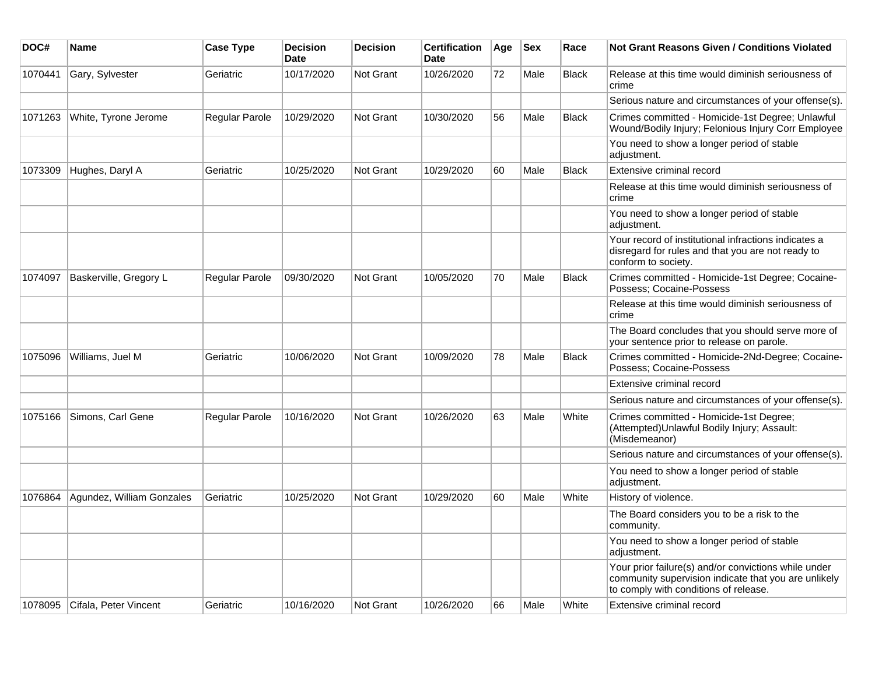| DOC#    | <b>Name</b>               | <b>Case Type</b> | <b>Decision</b><br><b>Date</b> | <b>Decision</b>  | <b>Certification</b><br><b>Date</b> | Age | <b>Sex</b> | Race         | <b>Not Grant Reasons Given / Conditions Violated</b>                                                                                                  |
|---------|---------------------------|------------------|--------------------------------|------------------|-------------------------------------|-----|------------|--------------|-------------------------------------------------------------------------------------------------------------------------------------------------------|
| 1070441 | Gary, Sylvester           | Geriatric        | 10/17/2020                     | <b>Not Grant</b> | 10/26/2020                          | 72  | Male       | <b>Black</b> | Release at this time would diminish seriousness of<br>crime                                                                                           |
|         |                           |                  |                                |                  |                                     |     |            |              | Serious nature and circumstances of your offense(s).                                                                                                  |
| 1071263 | White, Tyrone Jerome      | Regular Parole   | 10/29/2020                     | <b>Not Grant</b> | 10/30/2020                          | 56  | Male       | <b>Black</b> | Crimes committed - Homicide-1st Degree; Unlawful<br>Wound/Bodily Injury; Felonious Injury Corr Employee                                               |
|         |                           |                  |                                |                  |                                     |     |            |              | You need to show a longer period of stable<br>adjustment.                                                                                             |
| 1073309 | Hughes, Daryl A           | Geriatric        | 10/25/2020                     | <b>Not Grant</b> | 10/29/2020                          | 60  | Male       | <b>Black</b> | Extensive criminal record                                                                                                                             |
|         |                           |                  |                                |                  |                                     |     |            |              | Release at this time would diminish seriousness of<br>crime                                                                                           |
|         |                           |                  |                                |                  |                                     |     |            |              | You need to show a longer period of stable<br>adjustment.                                                                                             |
|         |                           |                  |                                |                  |                                     |     |            |              | Your record of institutional infractions indicates a<br>disregard for rules and that you are not ready to<br>conform to society.                      |
| 1074097 | Baskerville, Gregory L    | Regular Parole   | 09/30/2020                     | Not Grant        | 10/05/2020                          | 70  | Male       | <b>Black</b> | Crimes committed - Homicide-1st Degree; Cocaine-<br>Possess; Cocaine-Possess                                                                          |
|         |                           |                  |                                |                  |                                     |     |            |              | Release at this time would diminish seriousness of<br>crime                                                                                           |
|         |                           |                  |                                |                  |                                     |     |            |              | The Board concludes that you should serve more of<br>your sentence prior to release on parole.                                                        |
| 1075096 | Williams, Juel M          | Geriatric        | 10/06/2020                     | <b>Not Grant</b> | 10/09/2020                          | 78  | Male       | <b>Black</b> | Crimes committed - Homicide-2Nd-Degree; Cocaine-<br>Possess; Cocaine-Possess                                                                          |
|         |                           |                  |                                |                  |                                     |     |            |              | Extensive criminal record                                                                                                                             |
|         |                           |                  |                                |                  |                                     |     |            |              | Serious nature and circumstances of your offense(s).                                                                                                  |
| 1075166 | Simons, Carl Gene         | Regular Parole   | 10/16/2020                     | Not Grant        | 10/26/2020                          | 63  | Male       | White        | Crimes committed - Homicide-1st Degree;<br>(Attempted) Unlawful Bodily Injury; Assault:<br>(Misdemeanor)                                              |
|         |                           |                  |                                |                  |                                     |     |            |              | Serious nature and circumstances of your offense(s).                                                                                                  |
|         |                           |                  |                                |                  |                                     |     |            |              | You need to show a longer period of stable<br>adjustment.                                                                                             |
| 1076864 | Agundez, William Gonzales | Geriatric        | 10/25/2020                     | <b>Not Grant</b> | 10/29/2020                          | 60  | Male       | White        | History of violence.                                                                                                                                  |
|         |                           |                  |                                |                  |                                     |     |            |              | The Board considers you to be a risk to the<br>community.                                                                                             |
|         |                           |                  |                                |                  |                                     |     |            |              | You need to show a longer period of stable<br>adjustment.                                                                                             |
|         |                           |                  |                                |                  |                                     |     |            |              | Your prior failure(s) and/or convictions while under<br>community supervision indicate that you are unlikely<br>to comply with conditions of release. |
| 1078095 | Cifala, Peter Vincent     | Geriatric        | 10/16/2020                     | Not Grant        | 10/26/2020                          | 66  | Male       | White        | Extensive criminal record                                                                                                                             |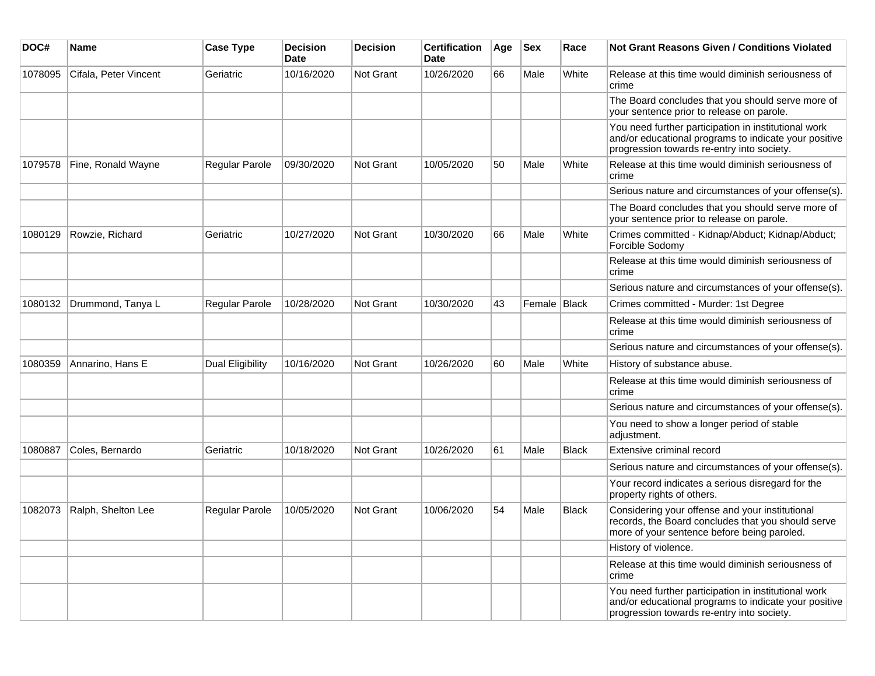| DOC#    | Name                  | <b>Case Type</b>      | <b>Decision</b><br>Date | <b>Decision</b> | <b>Certification</b><br>Date | Age | <b>Sex</b>     | Race         | <b>Not Grant Reasons Given / Conditions Violated</b>                                                                                                        |
|---------|-----------------------|-----------------------|-------------------------|-----------------|------------------------------|-----|----------------|--------------|-------------------------------------------------------------------------------------------------------------------------------------------------------------|
| 1078095 | Cifala, Peter Vincent | Geriatric             | 10/16/2020              | Not Grant       | 10/26/2020                   | 66  | Male           | White        | Release at this time would diminish seriousness of<br>crime                                                                                                 |
|         |                       |                       |                         |                 |                              |     |                |              | The Board concludes that you should serve more of<br>your sentence prior to release on parole.                                                              |
|         |                       |                       |                         |                 |                              |     |                |              | You need further participation in institutional work<br>and/or educational programs to indicate your positive<br>progression towards re-entry into society. |
| 1079578 | Fine, Ronald Wayne    | Regular Parole        | 09/30/2020              | Not Grant       | 10/05/2020                   | 50  | Male           | White        | Release at this time would diminish seriousness of<br>crime                                                                                                 |
|         |                       |                       |                         |                 |                              |     |                |              | Serious nature and circumstances of your offense(s).                                                                                                        |
|         |                       |                       |                         |                 |                              |     |                |              | The Board concludes that you should serve more of<br>your sentence prior to release on parole.                                                              |
| 1080129 | Rowzie, Richard       | Geriatric             | 10/27/2020              | Not Grant       | 10/30/2020                   | 66  | Male           | White        | Crimes committed - Kidnap/Abduct; Kidnap/Abduct;<br>Forcible Sodomy                                                                                         |
|         |                       |                       |                         |                 |                              |     |                |              | Release at this time would diminish seriousness of<br>crime                                                                                                 |
|         |                       |                       |                         |                 |                              |     |                |              | Serious nature and circumstances of your offense(s).                                                                                                        |
| 1080132 | Drummond, Tanya L     | Regular Parole        | 10/28/2020              | Not Grant       | 10/30/2020                   | 43  | Female   Black |              | Crimes committed - Murder: 1st Degree                                                                                                                       |
|         |                       |                       |                         |                 |                              |     |                |              | Release at this time would diminish seriousness of<br>crime                                                                                                 |
|         |                       |                       |                         |                 |                              |     |                |              | Serious nature and circumstances of your offense(s).                                                                                                        |
| 1080359 | Annarino, Hans E      | Dual Eligibility      | 10/16/2020              | Not Grant       | 10/26/2020                   | 60  | Male           | White        | History of substance abuse.                                                                                                                                 |
|         |                       |                       |                         |                 |                              |     |                |              | Release at this time would diminish seriousness of<br>crime                                                                                                 |
|         |                       |                       |                         |                 |                              |     |                |              | Serious nature and circumstances of your offense(s).                                                                                                        |
|         |                       |                       |                         |                 |                              |     |                |              | You need to show a longer period of stable<br>adjustment.                                                                                                   |
| 1080887 | Coles, Bernardo       | Geriatric             | 10/18/2020              | Not Grant       | 10/26/2020                   | 61  | Male           | Black        | Extensive criminal record                                                                                                                                   |
|         |                       |                       |                         |                 |                              |     |                |              | Serious nature and circumstances of your offense(s).                                                                                                        |
|         |                       |                       |                         |                 |                              |     |                |              | Your record indicates a serious disregard for the<br>property rights of others.                                                                             |
| 1082073 | Ralph, Shelton Lee    | <b>Regular Parole</b> | 10/05/2020              | Not Grant       | 10/06/2020                   | 54  | Male           | <b>Black</b> | Considering your offense and your institutional<br>records, the Board concludes that you should serve<br>more of your sentence before being paroled.        |
|         |                       |                       |                         |                 |                              |     |                |              | History of violence.                                                                                                                                        |
|         |                       |                       |                         |                 |                              |     |                |              | Release at this time would diminish seriousness of<br>crime                                                                                                 |
|         |                       |                       |                         |                 |                              |     |                |              | You need further participation in institutional work<br>and/or educational programs to indicate your positive<br>progression towards re-entry into society. |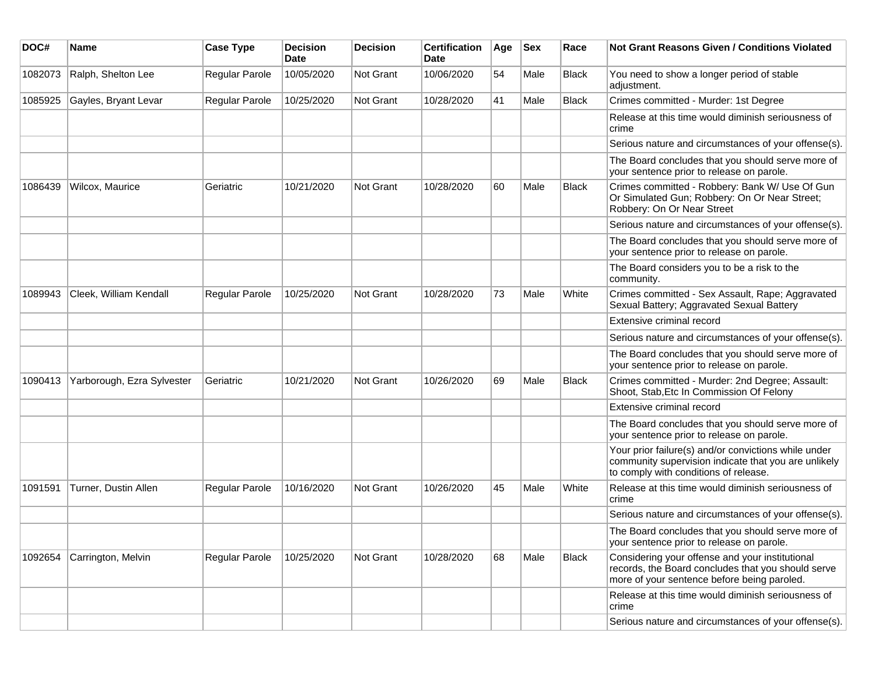| DOC#    | <b>Name</b>                | <b>Case Type</b>      | <b>Decision</b><br><b>Date</b> | <b>Decision</b> | <b>Certification</b><br>Date | Age | <b>Sex</b> | Race  | <b>Not Grant Reasons Given / Conditions Violated</b>                                                                                                  |
|---------|----------------------------|-----------------------|--------------------------------|-----------------|------------------------------|-----|------------|-------|-------------------------------------------------------------------------------------------------------------------------------------------------------|
| 1082073 | Ralph, Shelton Lee         | Regular Parole        | 10/05/2020                     | Not Grant       | 10/06/2020                   | 54  | Male       | Black | You need to show a longer period of stable<br>adjustment.                                                                                             |
| 1085925 | Gayles, Bryant Levar       | Regular Parole        | 10/25/2020                     | Not Grant       | 10/28/2020                   | 41  | Male       | Black | Crimes committed - Murder: 1st Degree                                                                                                                 |
|         |                            |                       |                                |                 |                              |     |            |       | Release at this time would diminish seriousness of<br>crime                                                                                           |
|         |                            |                       |                                |                 |                              |     |            |       | Serious nature and circumstances of your offense(s).                                                                                                  |
|         |                            |                       |                                |                 |                              |     |            |       | The Board concludes that you should serve more of<br>your sentence prior to release on parole.                                                        |
| 1086439 | Wilcox, Maurice            | Geriatric             | 10/21/2020                     | Not Grant       | 10/28/2020                   | 60  | Male       | Black | Crimes committed - Robbery: Bank W/ Use Of Gun<br>Or Simulated Gun; Robbery: On Or Near Street;<br>Robbery: On Or Near Street                         |
|         |                            |                       |                                |                 |                              |     |            |       | Serious nature and circumstances of your offense(s).                                                                                                  |
|         |                            |                       |                                |                 |                              |     |            |       | The Board concludes that you should serve more of<br>your sentence prior to release on parole.                                                        |
|         |                            |                       |                                |                 |                              |     |            |       | The Board considers you to be a risk to the<br>community.                                                                                             |
| 1089943 | Cleek, William Kendall     | <b>Regular Parole</b> | 10/25/2020                     | Not Grant       | 10/28/2020                   | 73  | Male       | White | Crimes committed - Sex Assault, Rape; Aggravated<br>Sexual Battery; Aggravated Sexual Battery                                                         |
|         |                            |                       |                                |                 |                              |     |            |       | Extensive criminal record                                                                                                                             |
|         |                            |                       |                                |                 |                              |     |            |       | Serious nature and circumstances of your offense(s).                                                                                                  |
|         |                            |                       |                                |                 |                              |     |            |       | The Board concludes that you should serve more of<br>your sentence prior to release on parole.                                                        |
| 1090413 | Yarborough, Ezra Sylvester | Geriatric             | 10/21/2020                     | Not Grant       | 10/26/2020                   | 69  | Male       | Black | Crimes committed - Murder: 2nd Degree; Assault:<br>Shoot, Stab, Etc In Commission Of Felony                                                           |
|         |                            |                       |                                |                 |                              |     |            |       | Extensive criminal record                                                                                                                             |
|         |                            |                       |                                |                 |                              |     |            |       | The Board concludes that you should serve more of<br>your sentence prior to release on parole.                                                        |
|         |                            |                       |                                |                 |                              |     |            |       | Your prior failure(s) and/or convictions while under<br>community supervision indicate that you are unlikely<br>to comply with conditions of release. |
| 1091591 | Turner, Dustin Allen       | <b>Regular Parole</b> | 10/16/2020                     | Not Grant       | 10/26/2020                   | 45  | Male       | White | Release at this time would diminish seriousness of<br>crime                                                                                           |
|         |                            |                       |                                |                 |                              |     |            |       | Serious nature and circumstances of your offense(s).                                                                                                  |
|         |                            |                       |                                |                 |                              |     |            |       | The Board concludes that you should serve more of<br>your sentence prior to release on parole.                                                        |
| 1092654 | Carrington, Melvin         | <b>Regular Parole</b> | 10/25/2020                     | Not Grant       | 10/28/2020                   | 68  | Male       | Black | Considering your offense and your institutional<br>records, the Board concludes that you should serve<br>more of your sentence before being paroled.  |
|         |                            |                       |                                |                 |                              |     |            |       | Release at this time would diminish seriousness of<br>crime                                                                                           |
|         |                            |                       |                                |                 |                              |     |            |       | Serious nature and circumstances of your offense(s).                                                                                                  |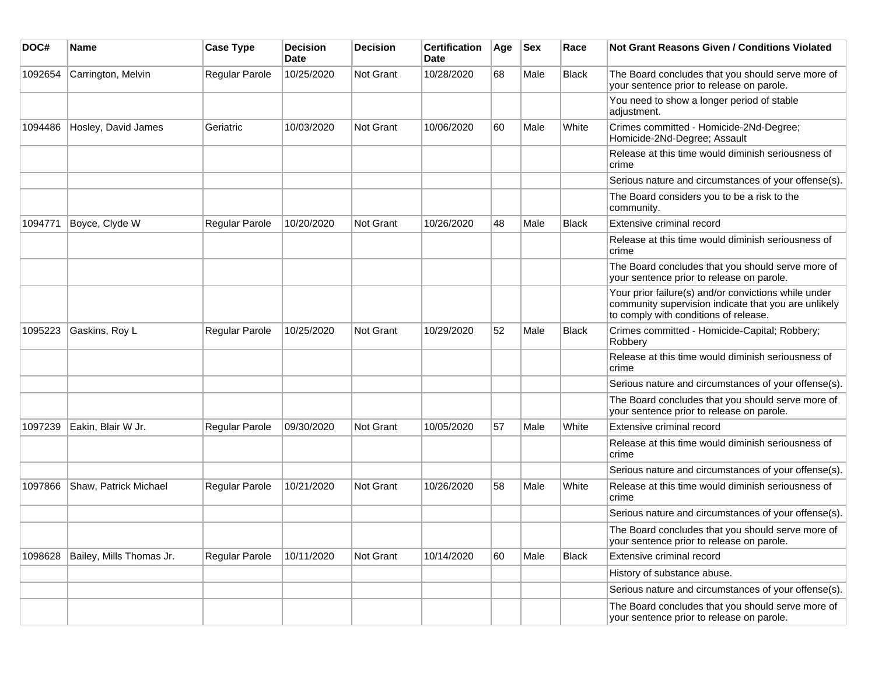| DOC#    | <b>Name</b>              | <b>Case Type</b> | <b>Decision</b><br>Date | <b>Decision</b> | <b>Certification</b><br>Date | Age | <b>Sex</b> | Race         | Not Grant Reasons Given / Conditions Violated                                                                                                         |
|---------|--------------------------|------------------|-------------------------|-----------------|------------------------------|-----|------------|--------------|-------------------------------------------------------------------------------------------------------------------------------------------------------|
| 1092654 | Carrington, Melvin       | Regular Parole   | 10/25/2020              | Not Grant       | 10/28/2020                   | 68  | Male       | Black        | The Board concludes that you should serve more of<br>your sentence prior to release on parole.                                                        |
|         |                          |                  |                         |                 |                              |     |            |              | You need to show a longer period of stable<br>adjustment.                                                                                             |
| 1094486 | Hosley, David James      | Geriatric        | 10/03/2020              | Not Grant       | 10/06/2020                   | 60  | Male       | White        | Crimes committed - Homicide-2Nd-Degree;<br>Homicide-2Nd-Degree; Assault                                                                               |
|         |                          |                  |                         |                 |                              |     |            |              | Release at this time would diminish seriousness of<br>crime                                                                                           |
|         |                          |                  |                         |                 |                              |     |            |              | Serious nature and circumstances of your offense(s).                                                                                                  |
|         |                          |                  |                         |                 |                              |     |            |              | The Board considers you to be a risk to the<br>community.                                                                                             |
| 1094771 | Boyce, Clyde W           | Regular Parole   | 10/20/2020              | Not Grant       | 10/26/2020                   | 48  | Male       | <b>Black</b> | Extensive criminal record                                                                                                                             |
|         |                          |                  |                         |                 |                              |     |            |              | Release at this time would diminish seriousness of<br>crime                                                                                           |
|         |                          |                  |                         |                 |                              |     |            |              | The Board concludes that you should serve more of<br>your sentence prior to release on parole.                                                        |
|         |                          |                  |                         |                 |                              |     |            |              | Your prior failure(s) and/or convictions while under<br>community supervision indicate that you are unlikely<br>to comply with conditions of release. |
| 1095223 | Gaskins, Roy L           | Regular Parole   | 10/25/2020              | Not Grant       | 10/29/2020                   | 52  | Male       | <b>Black</b> | Crimes committed - Homicide-Capital; Robbery;<br>Robbery                                                                                              |
|         |                          |                  |                         |                 |                              |     |            |              | Release at this time would diminish seriousness of<br>crime                                                                                           |
|         |                          |                  |                         |                 |                              |     |            |              | Serious nature and circumstances of your offense(s).                                                                                                  |
|         |                          |                  |                         |                 |                              |     |            |              | The Board concludes that you should serve more of<br>your sentence prior to release on parole.                                                        |
| 1097239 | Eakin, Blair W Jr.       | Regular Parole   | 09/30/2020              | Not Grant       | 10/05/2020                   | 57  | Male       | White        | Extensive criminal record                                                                                                                             |
|         |                          |                  |                         |                 |                              |     |            |              | Release at this time would diminish seriousness of<br>crime                                                                                           |
|         |                          |                  |                         |                 |                              |     |            |              | Serious nature and circumstances of your offense(s).                                                                                                  |
| 1097866 | Shaw, Patrick Michael    | Regular Parole   | 10/21/2020              | Not Grant       | 10/26/2020                   | 58  | Male       | White        | Release at this time would diminish seriousness of<br>crime                                                                                           |
|         |                          |                  |                         |                 |                              |     |            |              | Serious nature and circumstances of your offense(s).                                                                                                  |
|         |                          |                  |                         |                 |                              |     |            |              | The Board concludes that you should serve more of<br>your sentence prior to release on parole.                                                        |
| 1098628 | Bailey, Mills Thomas Jr. | Regular Parole   | 10/11/2020              | Not Grant       | 10/14/2020                   | 60  | Male       | <b>Black</b> | Extensive criminal record                                                                                                                             |
|         |                          |                  |                         |                 |                              |     |            |              | History of substance abuse.                                                                                                                           |
|         |                          |                  |                         |                 |                              |     |            |              | Serious nature and circumstances of your offense(s).                                                                                                  |
|         |                          |                  |                         |                 |                              |     |            |              | The Board concludes that you should serve more of<br>your sentence prior to release on parole.                                                        |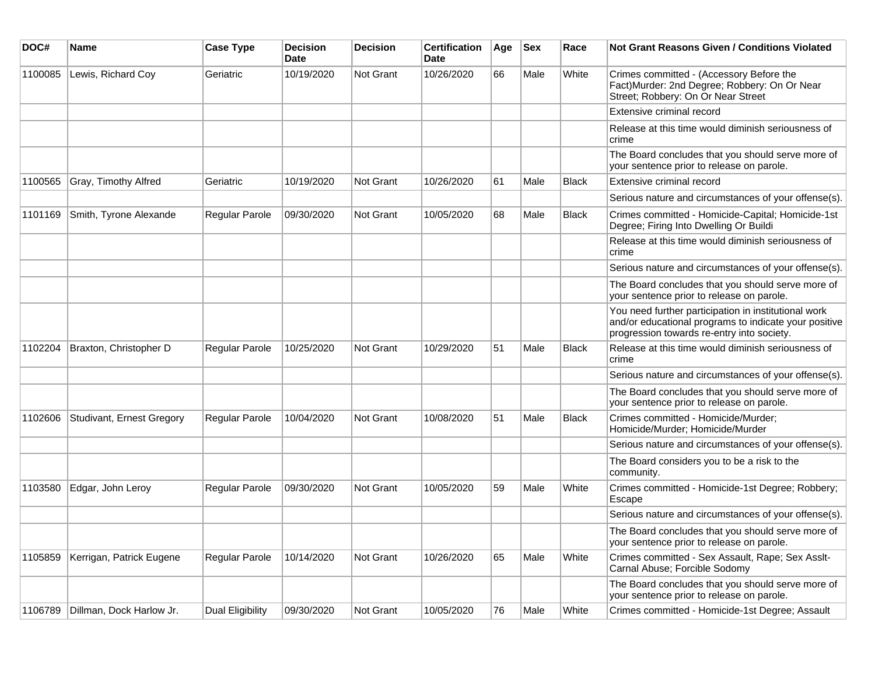| DOC#    | Name                      | <b>Case Type</b>      | <b>Decision</b><br>Date | <b>Decision</b> | <b>Certification</b><br><b>Date</b> | Age | <b>Sex</b> | Race         | Not Grant Reasons Given / Conditions Violated                                                                                                               |
|---------|---------------------------|-----------------------|-------------------------|-----------------|-------------------------------------|-----|------------|--------------|-------------------------------------------------------------------------------------------------------------------------------------------------------------|
| 1100085 | Lewis, Richard Coy        | Geriatric             | 10/19/2020              | Not Grant       | 10/26/2020                          | 66  | Male       | White        | Crimes committed - (Accessory Before the<br>Fact) Murder: 2nd Degree; Robbery: On Or Near<br>Street; Robbery: On Or Near Street                             |
|         |                           |                       |                         |                 |                                     |     |            |              | Extensive criminal record                                                                                                                                   |
|         |                           |                       |                         |                 |                                     |     |            |              | Release at this time would diminish seriousness of<br>crime                                                                                                 |
|         |                           |                       |                         |                 |                                     |     |            |              | The Board concludes that you should serve more of<br>your sentence prior to release on parole.                                                              |
| 1100565 | Gray, Timothy Alfred      | Geriatric             | 10/19/2020              | Not Grant       | 10/26/2020                          | 61  | Male       | <b>Black</b> | Extensive criminal record                                                                                                                                   |
|         |                           |                       |                         |                 |                                     |     |            |              | Serious nature and circumstances of your offense(s).                                                                                                        |
| 1101169 | Smith, Tyrone Alexande    | Regular Parole        | 09/30/2020              | Not Grant       | 10/05/2020                          | 68  | Male       | <b>Black</b> | Crimes committed - Homicide-Capital; Homicide-1st<br>Degree; Firing Into Dwelling Or Buildi                                                                 |
|         |                           |                       |                         |                 |                                     |     |            |              | Release at this time would diminish seriousness of<br>crime                                                                                                 |
|         |                           |                       |                         |                 |                                     |     |            |              | Serious nature and circumstances of your offense(s).                                                                                                        |
|         |                           |                       |                         |                 |                                     |     |            |              | The Board concludes that you should serve more of<br>your sentence prior to release on parole.                                                              |
|         |                           |                       |                         |                 |                                     |     |            |              | You need further participation in institutional work<br>and/or educational programs to indicate your positive<br>progression towards re-entry into society. |
| 1102204 | Braxton, Christopher D    | <b>Regular Parole</b> | 10/25/2020              | Not Grant       | 10/29/2020                          | 51  | Male       | Black        | Release at this time would diminish seriousness of<br>crime                                                                                                 |
|         |                           |                       |                         |                 |                                     |     |            |              | Serious nature and circumstances of your offense(s).                                                                                                        |
|         |                           |                       |                         |                 |                                     |     |            |              | The Board concludes that you should serve more of<br>your sentence prior to release on parole.                                                              |
| 1102606 | Studivant, Ernest Gregory | Regular Parole        | 10/04/2020              | Not Grant       | 10/08/2020                          | 51  | Male       | Black        | Crimes committed - Homicide/Murder;<br>Homicide/Murder; Homicide/Murder                                                                                     |
|         |                           |                       |                         |                 |                                     |     |            |              | Serious nature and circumstances of your offense(s).                                                                                                        |
|         |                           |                       |                         |                 |                                     |     |            |              | The Board considers you to be a risk to the<br>community.                                                                                                   |
| 1103580 | Edgar, John Leroy         | Regular Parole        | 09/30/2020              | Not Grant       | 10/05/2020                          | 59  | Male       | White        | Crimes committed - Homicide-1st Degree; Robbery;<br>Escape                                                                                                  |
|         |                           |                       |                         |                 |                                     |     |            |              | Serious nature and circumstances of your offense(s).                                                                                                        |
|         |                           |                       |                         |                 |                                     |     |            |              | The Board concludes that you should serve more of<br>your sentence prior to release on parole.                                                              |
| 1105859 | Kerrigan, Patrick Eugene  | Regular Parole        | 10/14/2020              | Not Grant       | 10/26/2020                          | 65  | Male       | White        | Crimes committed - Sex Assault, Rape; Sex Asslt-<br>Carnal Abuse; Forcible Sodomy                                                                           |
|         |                           |                       |                         |                 |                                     |     |            |              | The Board concludes that you should serve more of<br>your sentence prior to release on parole.                                                              |
| 1106789 | Dillman, Dock Harlow Jr.  | Dual Eligibility      | 09/30/2020              | Not Grant       | 10/05/2020                          | 76  | Male       | White        | Crimes committed - Homicide-1st Degree; Assault                                                                                                             |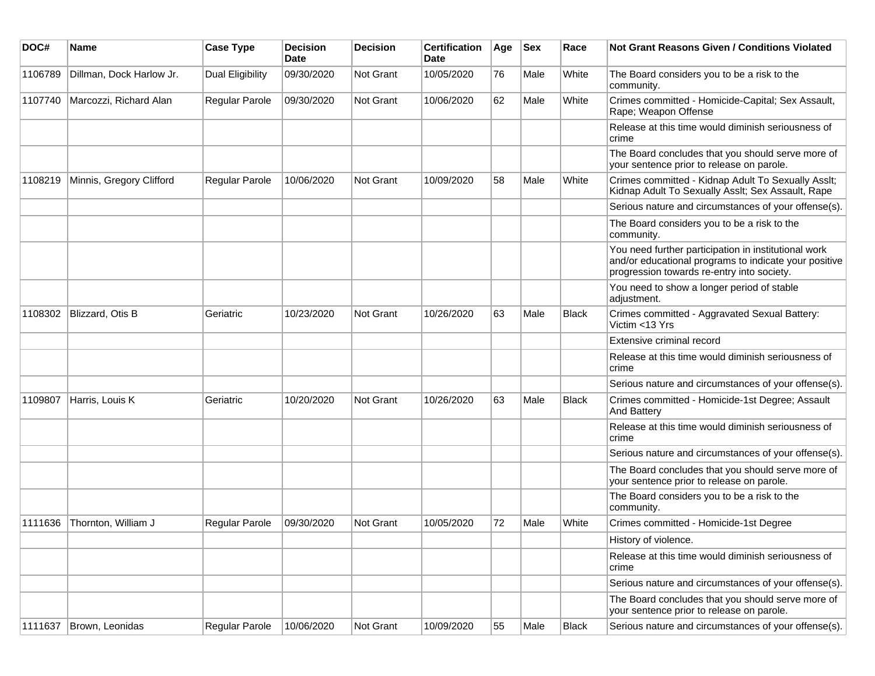| DOC#    | Name                     | <b>Case Type</b>      | <b>Decision</b><br>Date | <b>Decision</b> | <b>Certification</b><br>Date | Age | <b>Sex</b> | Race         | <b>Not Grant Reasons Given / Conditions Violated</b>                                                                                                        |
|---------|--------------------------|-----------------------|-------------------------|-----------------|------------------------------|-----|------------|--------------|-------------------------------------------------------------------------------------------------------------------------------------------------------------|
| 1106789 | Dillman, Dock Harlow Jr. | Dual Eligibility      | 09/30/2020              | Not Grant       | 10/05/2020                   | 76  | Male       | White        | The Board considers you to be a risk to the<br>community.                                                                                                   |
| 1107740 | Marcozzi, Richard Alan   | Regular Parole        | 09/30/2020              | Not Grant       | 10/06/2020                   | 62  | Male       | White        | Crimes committed - Homicide-Capital; Sex Assault,<br>Rape; Weapon Offense                                                                                   |
|         |                          |                       |                         |                 |                              |     |            |              | Release at this time would diminish seriousness of<br>crime                                                                                                 |
|         |                          |                       |                         |                 |                              |     |            |              | The Board concludes that you should serve more of<br>your sentence prior to release on parole.                                                              |
| 1108219 | Minnis, Gregory Clifford | <b>Regular Parole</b> | 10/06/2020              | Not Grant       | 10/09/2020                   | 58  | Male       | White        | Crimes committed - Kidnap Adult To Sexually Asslt;<br>Kidnap Adult To Sexually Asslt; Sex Assault, Rape                                                     |
|         |                          |                       |                         |                 |                              |     |            |              | Serious nature and circumstances of your offense(s).                                                                                                        |
|         |                          |                       |                         |                 |                              |     |            |              | The Board considers you to be a risk to the<br>community.                                                                                                   |
|         |                          |                       |                         |                 |                              |     |            |              | You need further participation in institutional work<br>and/or educational programs to indicate your positive<br>progression towards re-entry into society. |
|         |                          |                       |                         |                 |                              |     |            |              | You need to show a longer period of stable<br>adjustment.                                                                                                   |
| 1108302 | Blizzard, Otis B         | Geriatric             | 10/23/2020              | Not Grant       | 10/26/2020                   | 63  | Male       | <b>Black</b> | Crimes committed - Aggravated Sexual Battery:<br>Victim <13 Yrs                                                                                             |
|         |                          |                       |                         |                 |                              |     |            |              | Extensive criminal record                                                                                                                                   |
|         |                          |                       |                         |                 |                              |     |            |              | Release at this time would diminish seriousness of<br>crime                                                                                                 |
|         |                          |                       |                         |                 |                              |     |            |              | Serious nature and circumstances of your offense(s).                                                                                                        |
| 1109807 | Harris, Louis K          | Geriatric             | 10/20/2020              | Not Grant       | 10/26/2020                   | 63  | Male       | <b>Black</b> | Crimes committed - Homicide-1st Degree; Assault<br><b>And Battery</b>                                                                                       |
|         |                          |                       |                         |                 |                              |     |            |              | Release at this time would diminish seriousness of<br>crime                                                                                                 |
|         |                          |                       |                         |                 |                              |     |            |              | Serious nature and circumstances of your offense(s).                                                                                                        |
|         |                          |                       |                         |                 |                              |     |            |              | The Board concludes that you should serve more of<br>your sentence prior to release on parole.                                                              |
|         |                          |                       |                         |                 |                              |     |            |              | The Board considers you to be a risk to the<br>community.                                                                                                   |
| 1111636 | Thornton, William J      | Regular Parole        | 09/30/2020              | Not Grant       | 10/05/2020                   | 72  | Male       | White        | Crimes committed - Homicide-1st Degree                                                                                                                      |
|         |                          |                       |                         |                 |                              |     |            |              | History of violence.                                                                                                                                        |
|         |                          |                       |                         |                 |                              |     |            |              | Release at this time would diminish seriousness of<br>crime                                                                                                 |
|         |                          |                       |                         |                 |                              |     |            |              | Serious nature and circumstances of your offense(s).                                                                                                        |
|         |                          |                       |                         |                 |                              |     |            |              | The Board concludes that you should serve more of<br>your sentence prior to release on parole.                                                              |
| 1111637 | Brown, Leonidas          | Regular Parole        | 10/06/2020              | Not Grant       | 10/09/2020                   | 55  | Male       | <b>Black</b> | Serious nature and circumstances of your offense(s).                                                                                                        |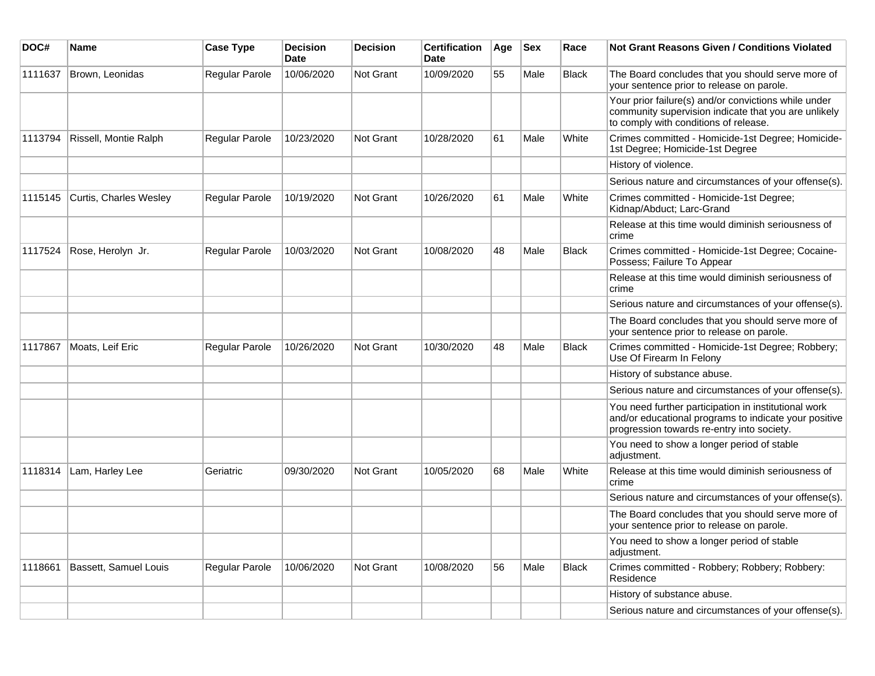| DOC#    | Name                   | <b>Case Type</b> | <b>Decision</b><br><b>Date</b> | <b>Decision</b>  | <b>Certification</b><br>Date | Age | <b>Sex</b> | Race         | <b>Not Grant Reasons Given / Conditions Violated</b>                                                                                                        |
|---------|------------------------|------------------|--------------------------------|------------------|------------------------------|-----|------------|--------------|-------------------------------------------------------------------------------------------------------------------------------------------------------------|
| 1111637 | Brown, Leonidas        | Regular Parole   | 10/06/2020                     | Not Grant        | 10/09/2020                   | 55  | Male       | <b>Black</b> | The Board concludes that you should serve more of<br>your sentence prior to release on parole.                                                              |
|         |                        |                  |                                |                  |                              |     |            |              | Your prior failure(s) and/or convictions while under<br>community supervision indicate that you are unlikely<br>to comply with conditions of release.       |
| 1113794 | Rissell, Montie Ralph  | Regular Parole   | 10/23/2020                     | Not Grant        | 10/28/2020                   | 61  | Male       | White        | Crimes committed - Homicide-1st Degree; Homicide-<br>1st Degree; Homicide-1st Degree                                                                        |
|         |                        |                  |                                |                  |                              |     |            |              | History of violence.                                                                                                                                        |
|         |                        |                  |                                |                  |                              |     |            |              | Serious nature and circumstances of your offense(s).                                                                                                        |
| 1115145 | Curtis, Charles Wesley | Regular Parole   | 10/19/2020                     | Not Grant        | 10/26/2020                   | 61  | Male       | White        | Crimes committed - Homicide-1st Degree;<br>Kidnap/Abduct; Larc-Grand                                                                                        |
|         |                        |                  |                                |                  |                              |     |            |              | Release at this time would diminish seriousness of<br>crime                                                                                                 |
| 1117524 | Rose, Herolyn Jr.      | Regular Parole   | 10/03/2020                     | <b>Not Grant</b> | 10/08/2020                   | 48  | Male       | Black        | Crimes committed - Homicide-1st Degree; Cocaine-<br>Possess; Failure To Appear                                                                              |
|         |                        |                  |                                |                  |                              |     |            |              | Release at this time would diminish seriousness of<br>crime                                                                                                 |
|         |                        |                  |                                |                  |                              |     |            |              | Serious nature and circumstances of your offense(s).                                                                                                        |
|         |                        |                  |                                |                  |                              |     |            |              | The Board concludes that you should serve more of<br>your sentence prior to release on parole.                                                              |
| 1117867 | Moats, Leif Eric       | Regular Parole   | 10/26/2020                     | Not Grant        | 10/30/2020                   | 48  | Male       | <b>Black</b> | Crimes committed - Homicide-1st Degree; Robbery;<br>Use Of Firearm In Felony                                                                                |
|         |                        |                  |                                |                  |                              |     |            |              | History of substance abuse.                                                                                                                                 |
|         |                        |                  |                                |                  |                              |     |            |              | Serious nature and circumstances of your offense(s).                                                                                                        |
|         |                        |                  |                                |                  |                              |     |            |              | You need further participation in institutional work<br>and/or educational programs to indicate your positive<br>progression towards re-entry into society. |
|         |                        |                  |                                |                  |                              |     |            |              | You need to show a longer period of stable<br>adjustment.                                                                                                   |
| 1118314 | Lam, Harley Lee        | Geriatric        | 09/30/2020                     | Not Grant        | 10/05/2020                   | 68  | Male       | White        | Release at this time would diminish seriousness of<br>crime                                                                                                 |
|         |                        |                  |                                |                  |                              |     |            |              | Serious nature and circumstances of your offense(s).                                                                                                        |
|         |                        |                  |                                |                  |                              |     |            |              | The Board concludes that you should serve more of<br>your sentence prior to release on parole.                                                              |
|         |                        |                  |                                |                  |                              |     |            |              | You need to show a longer period of stable<br>adjustment.                                                                                                   |
| 1118661 | Bassett, Samuel Louis  | Regular Parole   | 10/06/2020                     | Not Grant        | 10/08/2020                   | 56  | Male       | <b>Black</b> | Crimes committed - Robbery; Robbery; Robbery:<br>Residence                                                                                                  |
|         |                        |                  |                                |                  |                              |     |            |              | History of substance abuse.                                                                                                                                 |
|         |                        |                  |                                |                  |                              |     |            |              | Serious nature and circumstances of your offense(s).                                                                                                        |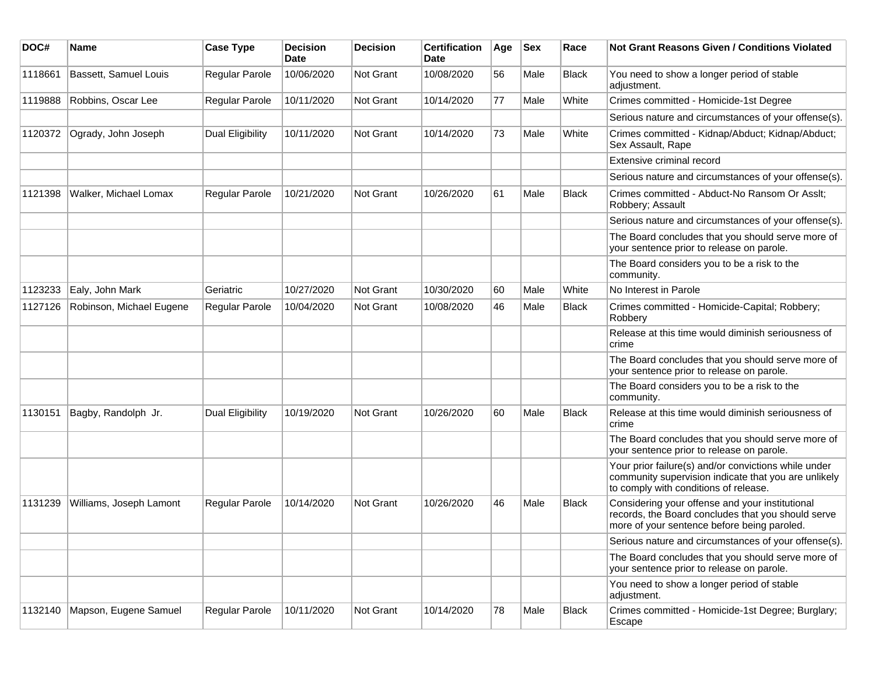| DOC#    | <b>Name</b>              | <b>Case Type</b>      | <b>Decision</b><br><b>Date</b> | <b>Decision</b>  | <b>Certification</b><br>Date | Age | <b>Sex</b> | Race         | <b>Not Grant Reasons Given / Conditions Violated</b>                                                                                                  |
|---------|--------------------------|-----------------------|--------------------------------|------------------|------------------------------|-----|------------|--------------|-------------------------------------------------------------------------------------------------------------------------------------------------------|
| 1118661 | Bassett, Samuel Louis    | Regular Parole        | 10/06/2020                     | <b>Not Grant</b> | 10/08/2020                   | 56  | Male       | <b>Black</b> | You need to show a longer period of stable<br>adjustment.                                                                                             |
| 1119888 | Robbins, Oscar Lee       | Regular Parole        | 10/11/2020                     | <b>Not Grant</b> | 10/14/2020                   | 77  | Male       | White        | Crimes committed - Homicide-1st Degree                                                                                                                |
|         |                          |                       |                                |                  |                              |     |            |              | Serious nature and circumstances of your offense(s).                                                                                                  |
| 1120372 | Ogrady, John Joseph      | Dual Eligibility      | 10/11/2020                     | Not Grant        | 10/14/2020                   | 73  | Male       | White        | Crimes committed - Kidnap/Abduct; Kidnap/Abduct;<br>Sex Assault, Rape                                                                                 |
|         |                          |                       |                                |                  |                              |     |            |              | Extensive criminal record                                                                                                                             |
|         |                          |                       |                                |                  |                              |     |            |              | Serious nature and circumstances of your offense(s).                                                                                                  |
| 1121398 | Walker, Michael Lomax    | <b>Regular Parole</b> | 10/21/2020                     | Not Grant        | 10/26/2020                   | 61  | Male       | <b>Black</b> | Crimes committed - Abduct-No Ransom Or Asslt;<br>Robbery; Assault                                                                                     |
|         |                          |                       |                                |                  |                              |     |            |              | Serious nature and circumstances of your offense(s).                                                                                                  |
|         |                          |                       |                                |                  |                              |     |            |              | The Board concludes that you should serve more of<br>your sentence prior to release on parole.                                                        |
|         |                          |                       |                                |                  |                              |     |            |              | The Board considers you to be a risk to the<br>community.                                                                                             |
| 1123233 | Ealy, John Mark          | Geriatric             | 10/27/2020                     | Not Grant        | 10/30/2020                   | 60  | Male       | White        | No Interest in Parole                                                                                                                                 |
| 1127126 | Robinson, Michael Eugene | <b>Regular Parole</b> | 10/04/2020                     | <b>Not Grant</b> | 10/08/2020                   | 46  | Male       | <b>Black</b> | Crimes committed - Homicide-Capital; Robbery;<br>Robbery                                                                                              |
|         |                          |                       |                                |                  |                              |     |            |              | Release at this time would diminish seriousness of<br>crime                                                                                           |
|         |                          |                       |                                |                  |                              |     |            |              | The Board concludes that you should serve more of<br>your sentence prior to release on parole.                                                        |
|         |                          |                       |                                |                  |                              |     |            |              | The Board considers you to be a risk to the<br>community.                                                                                             |
| 1130151 | Bagby, Randolph Jr.      | Dual Eligibility      | 10/19/2020                     | <b>Not Grant</b> | 10/26/2020                   | 60  | Male       | Black        | Release at this time would diminish seriousness of<br>crime                                                                                           |
|         |                          |                       |                                |                  |                              |     |            |              | The Board concludes that you should serve more of<br>your sentence prior to release on parole.                                                        |
|         |                          |                       |                                |                  |                              |     |            |              | Your prior failure(s) and/or convictions while under<br>community supervision indicate that you are unlikely<br>to comply with conditions of release. |
| 1131239 | Williams, Joseph Lamont  | <b>Regular Parole</b> | 10/14/2020                     | Not Grant        | 10/26/2020                   | 46  | Male       | Black        | Considering your offense and your institutional<br>records, the Board concludes that you should serve<br>more of your sentence before being paroled.  |
|         |                          |                       |                                |                  |                              |     |            |              | Serious nature and circumstances of your offense(s).                                                                                                  |
|         |                          |                       |                                |                  |                              |     |            |              | The Board concludes that you should serve more of<br>your sentence prior to release on parole.                                                        |
|         |                          |                       |                                |                  |                              |     |            |              | You need to show a longer period of stable<br>adjustment.                                                                                             |
| 1132140 | Mapson, Eugene Samuel    | Regular Parole        | 10/11/2020                     | Not Grant        | 10/14/2020                   | 78  | Male       | Black        | Crimes committed - Homicide-1st Degree; Burglary;<br>Escape                                                                                           |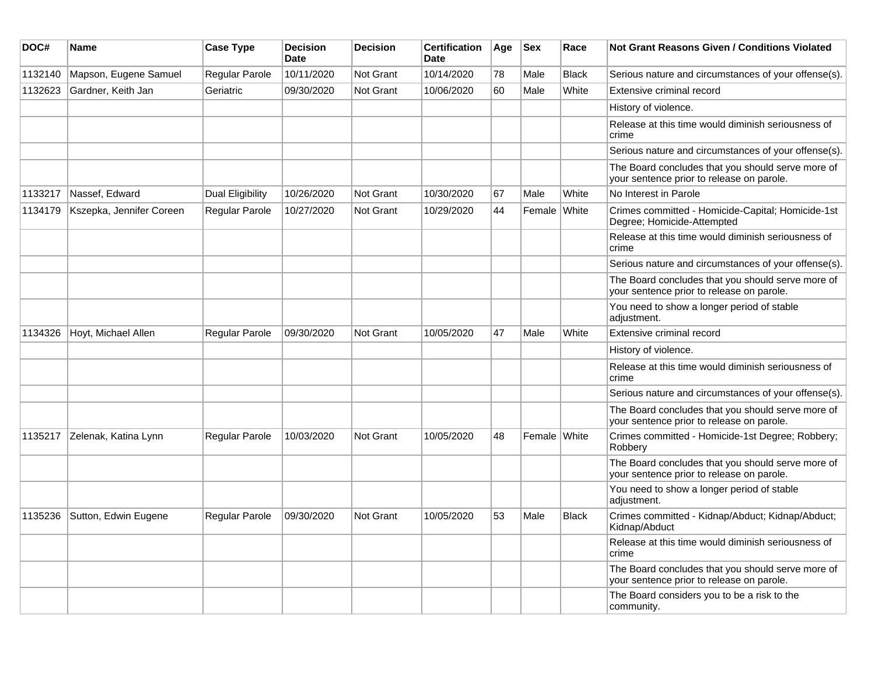| DOC#    | <b>Name</b>              | <b>Case Type</b>        | <b>Decision</b><br><b>Date</b> | <b>Decision</b> | <b>Certification</b><br>Date | Age | <b>Sex</b>   | Race         | <b>Not Grant Reasons Given / Conditions Violated</b>                                           |
|---------|--------------------------|-------------------------|--------------------------------|-----------------|------------------------------|-----|--------------|--------------|------------------------------------------------------------------------------------------------|
| 1132140 | Mapson, Eugene Samuel    | Regular Parole          | 10/11/2020                     | Not Grant       | 10/14/2020                   | 78  | Male         | <b>Black</b> | Serious nature and circumstances of your offense(s).                                           |
| 1132623 | Gardner, Keith Jan       | Geriatric               | 09/30/2020                     | Not Grant       | 10/06/2020                   | 60  | Male         | White        | Extensive criminal record                                                                      |
|         |                          |                         |                                |                 |                              |     |              |              | History of violence.                                                                           |
|         |                          |                         |                                |                 |                              |     |              |              | Release at this time would diminish seriousness of<br>crime                                    |
|         |                          |                         |                                |                 |                              |     |              |              | Serious nature and circumstances of your offense(s).                                           |
|         |                          |                         |                                |                 |                              |     |              |              | The Board concludes that you should serve more of<br>your sentence prior to release on parole. |
| 1133217 | Nassef, Edward           | <b>Dual Eligibility</b> | 10/26/2020                     | Not Grant       | 10/30/2020                   | 67  | Male         | White        | No Interest in Parole                                                                          |
| 1134179 | Kszepka, Jennifer Coreen | Regular Parole          | 10/27/2020                     | Not Grant       | 10/29/2020                   | 44  | Female White |              | Crimes committed - Homicide-Capital; Homicide-1st<br>Degree; Homicide-Attempted                |
|         |                          |                         |                                |                 |                              |     |              |              | Release at this time would diminish seriousness of<br>crime                                    |
|         |                          |                         |                                |                 |                              |     |              |              | Serious nature and circumstances of your offense(s).                                           |
|         |                          |                         |                                |                 |                              |     |              |              | The Board concludes that you should serve more of<br>your sentence prior to release on parole. |
|         |                          |                         |                                |                 |                              |     |              |              | You need to show a longer period of stable<br>adjustment.                                      |
| 1134326 | Hoyt, Michael Allen      | Regular Parole          | 09/30/2020                     | Not Grant       | 10/05/2020                   | 47  | Male         | White        | Extensive criminal record                                                                      |
|         |                          |                         |                                |                 |                              |     |              |              | History of violence.                                                                           |
|         |                          |                         |                                |                 |                              |     |              |              | Release at this time would diminish seriousness of<br>crime                                    |
|         |                          |                         |                                |                 |                              |     |              |              | Serious nature and circumstances of your offense(s).                                           |
|         |                          |                         |                                |                 |                              |     |              |              | The Board concludes that you should serve more of<br>your sentence prior to release on parole. |
| 1135217 | Zelenak, Katina Lynn     | <b>Regular Parole</b>   | 10/03/2020                     | Not Grant       | 10/05/2020                   | 48  | Female White |              | Crimes committed - Homicide-1st Degree; Robbery;<br>Robbery                                    |
|         |                          |                         |                                |                 |                              |     |              |              | The Board concludes that you should serve more of<br>your sentence prior to release on parole. |
|         |                          |                         |                                |                 |                              |     |              |              | You need to show a longer period of stable<br>adjustment.                                      |
| 1135236 | Sutton, Edwin Eugene     | Regular Parole          | 09/30/2020                     | Not Grant       | 10/05/2020                   | 53  | Male         | <b>Black</b> | Crimes committed - Kidnap/Abduct; Kidnap/Abduct;<br>Kidnap/Abduct                              |
|         |                          |                         |                                |                 |                              |     |              |              | Release at this time would diminish seriousness of<br>crime                                    |
|         |                          |                         |                                |                 |                              |     |              |              | The Board concludes that you should serve more of<br>your sentence prior to release on parole. |
|         |                          |                         |                                |                 |                              |     |              |              | The Board considers you to be a risk to the<br>community.                                      |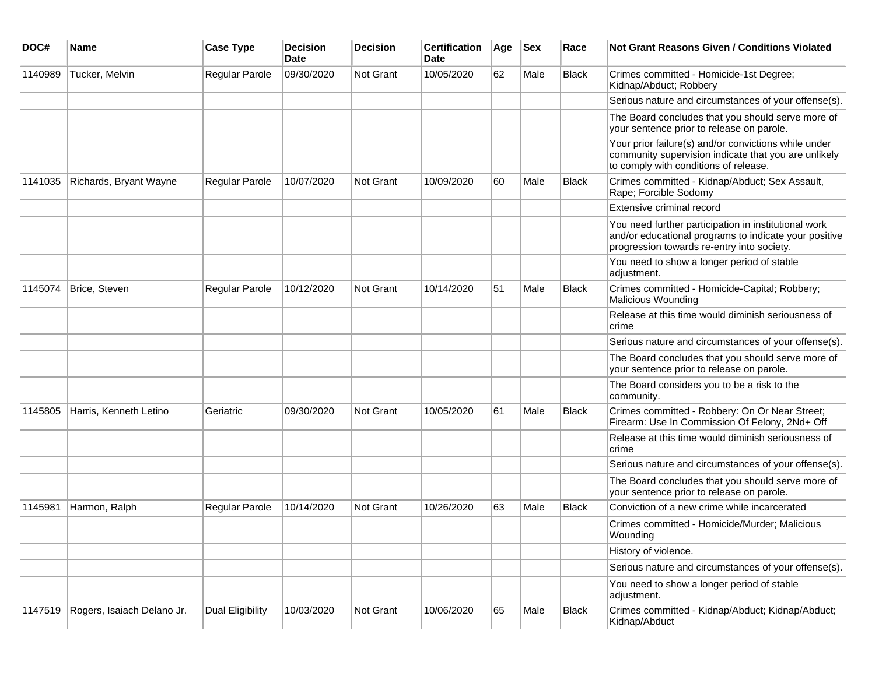| DOC#    | <b>Name</b>                | <b>Case Type</b> | <b>Decision</b><br>Date | <b>Decision</b> | <b>Certification</b><br>Date | Age | <b>Sex</b> | Race         | Not Grant Reasons Given / Conditions Violated                                                                                                               |
|---------|----------------------------|------------------|-------------------------|-----------------|------------------------------|-----|------------|--------------|-------------------------------------------------------------------------------------------------------------------------------------------------------------|
| 1140989 | Tucker, Melvin             | Regular Parole   | 09/30/2020              | Not Grant       | 10/05/2020                   | 62  | Male       | Black        | Crimes committed - Homicide-1st Degree;<br>Kidnap/Abduct; Robbery                                                                                           |
|         |                            |                  |                         |                 |                              |     |            |              | Serious nature and circumstances of your offense(s).                                                                                                        |
|         |                            |                  |                         |                 |                              |     |            |              | The Board concludes that you should serve more of<br>your sentence prior to release on parole.                                                              |
|         |                            |                  |                         |                 |                              |     |            |              | Your prior failure(s) and/or convictions while under<br>community supervision indicate that you are unlikely<br>to comply with conditions of release.       |
| 1141035 | Richards, Bryant Wayne     | Regular Parole   | 10/07/2020              | Not Grant       | 10/09/2020                   | 60  | Male       | Black        | Crimes committed - Kidnap/Abduct; Sex Assault,<br>Rape; Forcible Sodomy                                                                                     |
|         |                            |                  |                         |                 |                              |     |            |              | Extensive criminal record                                                                                                                                   |
|         |                            |                  |                         |                 |                              |     |            |              | You need further participation in institutional work<br>and/or educational programs to indicate your positive<br>progression towards re-entry into society. |
|         |                            |                  |                         |                 |                              |     |            |              | You need to show a longer period of stable<br>adjustment.                                                                                                   |
| 1145074 | Brice, Steven              | Regular Parole   | 10/12/2020              | Not Grant       | 10/14/2020                   | 51  | Male       | Black        | Crimes committed - Homicide-Capital; Robbery;<br>Malicious Wounding                                                                                         |
|         |                            |                  |                         |                 |                              |     |            |              | Release at this time would diminish seriousness of<br>crime                                                                                                 |
|         |                            |                  |                         |                 |                              |     |            |              | Serious nature and circumstances of your offense(s).                                                                                                        |
|         |                            |                  |                         |                 |                              |     |            |              | The Board concludes that you should serve more of<br>your sentence prior to release on parole.                                                              |
|         |                            |                  |                         |                 |                              |     |            |              | The Board considers you to be a risk to the<br>community.                                                                                                   |
| 1145805 | Harris, Kenneth Letino     | Geriatric        | 09/30/2020              | Not Grant       | 10/05/2020                   | 61  | Male       | Black        | Crimes committed - Robbery: On Or Near Street;<br>Firearm: Use In Commission Of Felony, 2Nd+ Off                                                            |
|         |                            |                  |                         |                 |                              |     |            |              | Release at this time would diminish seriousness of<br>crime                                                                                                 |
|         |                            |                  |                         |                 |                              |     |            |              | Serious nature and circumstances of your offense(s).                                                                                                        |
|         |                            |                  |                         |                 |                              |     |            |              | The Board concludes that you should serve more of<br>your sentence prior to release on parole.                                                              |
| 1145981 | Harmon, Ralph              | Regular Parole   | 10/14/2020              | Not Grant       | 10/26/2020                   | 63  | Male       | <b>Black</b> | Conviction of a new crime while incarcerated                                                                                                                |
|         |                            |                  |                         |                 |                              |     |            |              | Crimes committed - Homicide/Murder; Malicious<br>Wounding                                                                                                   |
|         |                            |                  |                         |                 |                              |     |            |              | History of violence.                                                                                                                                        |
|         |                            |                  |                         |                 |                              |     |            |              | Serious nature and circumstances of your offense(s).                                                                                                        |
|         |                            |                  |                         |                 |                              |     |            |              | You need to show a longer period of stable<br>adjustment.                                                                                                   |
| 1147519 | Rogers, Isaiach Delano Jr. | Dual Eligibility | 10/03/2020              | Not Grant       | 10/06/2020                   | 65  | Male       | <b>Black</b> | Crimes committed - Kidnap/Abduct; Kidnap/Abduct;<br>Kidnap/Abduct                                                                                           |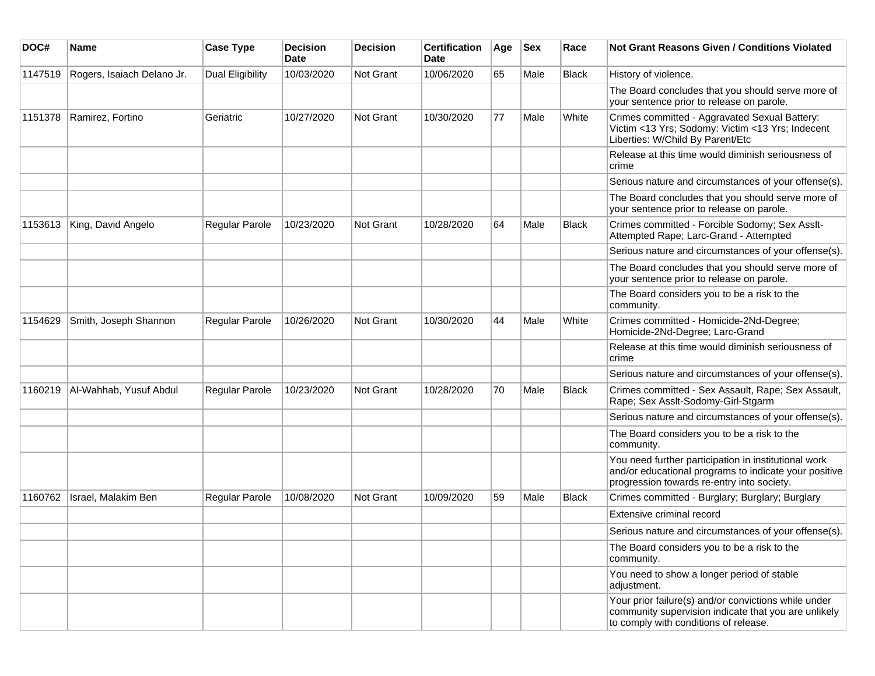| DOC#    | Name                       | <b>Case Type</b>      | <b>Decision</b><br><b>Date</b> | <b>Decision</b> | <b>Certification</b><br>Date | Age | <b>Sex</b> | Race         | Not Grant Reasons Given / Conditions Violated                                                                                                               |
|---------|----------------------------|-----------------------|--------------------------------|-----------------|------------------------------|-----|------------|--------------|-------------------------------------------------------------------------------------------------------------------------------------------------------------|
| 1147519 | Rogers, Isaiach Delano Jr. | Dual Eligibility      | 10/03/2020                     | Not Grant       | 10/06/2020                   | 65  | Male       | <b>Black</b> | History of violence.                                                                                                                                        |
|         |                            |                       |                                |                 |                              |     |            |              | The Board concludes that you should serve more of<br>your sentence prior to release on parole.                                                              |
| 1151378 | Ramirez, Fortino           | Geriatric             | 10/27/2020                     | Not Grant       | 10/30/2020                   | 77  | Male       | White        | Crimes committed - Aggravated Sexual Battery:<br>Victim <13 Yrs; Sodomy: Victim <13 Yrs; Indecent<br>Liberties: W/Child By Parent/Etc                       |
|         |                            |                       |                                |                 |                              |     |            |              | Release at this time would diminish seriousness of<br>crime                                                                                                 |
|         |                            |                       |                                |                 |                              |     |            |              | Serious nature and circumstances of your offense(s).                                                                                                        |
|         |                            |                       |                                |                 |                              |     |            |              | The Board concludes that you should serve more of<br>your sentence prior to release on parole.                                                              |
| 1153613 | King, David Angelo         | Regular Parole        | 10/23/2020                     | Not Grant       | 10/28/2020                   | 64  | Male       | <b>Black</b> | Crimes committed - Forcible Sodomy; Sex Asslt-<br>Attempted Rape; Larc-Grand - Attempted                                                                    |
|         |                            |                       |                                |                 |                              |     |            |              | Serious nature and circumstances of your offense(s).                                                                                                        |
|         |                            |                       |                                |                 |                              |     |            |              | The Board concludes that you should serve more of<br>your sentence prior to release on parole.                                                              |
|         |                            |                       |                                |                 |                              |     |            |              | The Board considers you to be a risk to the<br>community.                                                                                                   |
| 1154629 | Smith, Joseph Shannon      | <b>Regular Parole</b> | 10/26/2020                     | Not Grant       | 10/30/2020                   | 44  | Male       | White        | Crimes committed - Homicide-2Nd-Degree;<br>Homicide-2Nd-Degree; Larc-Grand                                                                                  |
|         |                            |                       |                                |                 |                              |     |            |              | Release at this time would diminish seriousness of<br>crime                                                                                                 |
|         |                            |                       |                                |                 |                              |     |            |              | Serious nature and circumstances of your offense(s).                                                                                                        |
| 1160219 | Al-Wahhab, Yusuf Abdul     | <b>Regular Parole</b> | 10/23/2020                     | Not Grant       | 10/28/2020                   | 70  | Male       | <b>Black</b> | Crimes committed - Sex Assault, Rape; Sex Assault,<br>Rape; Sex Asslt-Sodomy-Girl-Stgarm                                                                    |
|         |                            |                       |                                |                 |                              |     |            |              | Serious nature and circumstances of your offense(s).                                                                                                        |
|         |                            |                       |                                |                 |                              |     |            |              | The Board considers you to be a risk to the<br>community.                                                                                                   |
|         |                            |                       |                                |                 |                              |     |            |              | You need further participation in institutional work<br>and/or educational programs to indicate your positive<br>progression towards re-entry into society. |
| 1160762 | Israel, Malakim Ben        | Regular Parole        | 10/08/2020                     | Not Grant       | 10/09/2020                   | 59  | Male       | <b>Black</b> | Crimes committed - Burglary; Burglary; Burglary                                                                                                             |
|         |                            |                       |                                |                 |                              |     |            |              | Extensive criminal record                                                                                                                                   |
|         |                            |                       |                                |                 |                              |     |            |              | Serious nature and circumstances of your offense(s).                                                                                                        |
|         |                            |                       |                                |                 |                              |     |            |              | The Board considers you to be a risk to the<br>community.                                                                                                   |
|         |                            |                       |                                |                 |                              |     |            |              | You need to show a longer period of stable<br>adjustment.                                                                                                   |
|         |                            |                       |                                |                 |                              |     |            |              | Your prior failure(s) and/or convictions while under<br>community supervision indicate that you are unlikely<br>to comply with conditions of release.       |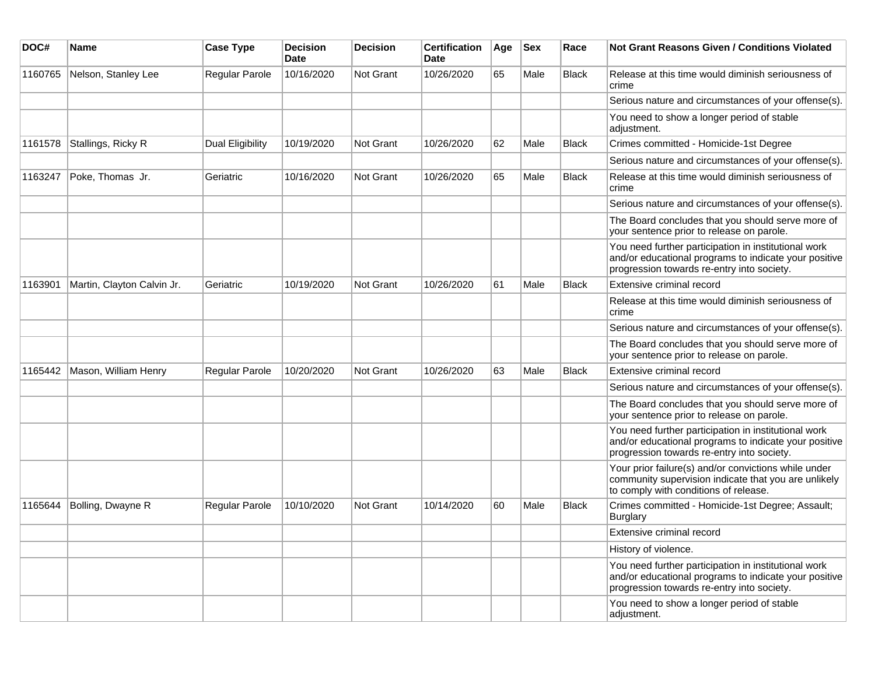| DOC#    | Name                       | <b>Case Type</b>      | <b>Decision</b><br>Date | <b>Decision</b> | <b>Certification</b><br>Date | Age | <b>Sex</b> | Race         | <b>Not Grant Reasons Given / Conditions Violated</b>                                                                                                        |
|---------|----------------------------|-----------------------|-------------------------|-----------------|------------------------------|-----|------------|--------------|-------------------------------------------------------------------------------------------------------------------------------------------------------------|
| 1160765 | Nelson, Stanley Lee        | Regular Parole        | 10/16/2020              | Not Grant       | 10/26/2020                   | 65  | Male       | <b>Black</b> | Release at this time would diminish seriousness of<br>crime                                                                                                 |
|         |                            |                       |                         |                 |                              |     |            |              | Serious nature and circumstances of your offense(s).                                                                                                        |
|         |                            |                       |                         |                 |                              |     |            |              | You need to show a longer period of stable<br>adjustment.                                                                                                   |
| 1161578 | Stallings, Ricky R         | Dual Eligibility      | 10/19/2020              | Not Grant       | 10/26/2020                   | 62  | Male       | <b>Black</b> | Crimes committed - Homicide-1st Degree                                                                                                                      |
|         |                            |                       |                         |                 |                              |     |            |              | Serious nature and circumstances of your offense(s).                                                                                                        |
| 1163247 | Poke, Thomas Jr.           | Geriatric             | 10/16/2020              | Not Grant       | 10/26/2020                   | 65  | Male       | <b>Black</b> | Release at this time would diminish seriousness of<br>crime                                                                                                 |
|         |                            |                       |                         |                 |                              |     |            |              | Serious nature and circumstances of your offense(s).                                                                                                        |
|         |                            |                       |                         |                 |                              |     |            |              | The Board concludes that you should serve more of<br>your sentence prior to release on parole.                                                              |
|         |                            |                       |                         |                 |                              |     |            |              | You need further participation in institutional work<br>and/or educational programs to indicate your positive<br>progression towards re-entry into society. |
| 1163901 | Martin, Clayton Calvin Jr. | Geriatric             | 10/19/2020              | Not Grant       | 10/26/2020                   | 61  | Male       | <b>Black</b> | Extensive criminal record                                                                                                                                   |
|         |                            |                       |                         |                 |                              |     |            |              | Release at this time would diminish seriousness of<br>crime                                                                                                 |
|         |                            |                       |                         |                 |                              |     |            |              | Serious nature and circumstances of your offense(s).                                                                                                        |
|         |                            |                       |                         |                 |                              |     |            |              | The Board concludes that you should serve more of<br>your sentence prior to release on parole.                                                              |
| 1165442 | Mason, William Henry       | <b>Regular Parole</b> | 10/20/2020              | Not Grant       | 10/26/2020                   | 63  | Male       | Black        | Extensive criminal record                                                                                                                                   |
|         |                            |                       |                         |                 |                              |     |            |              | Serious nature and circumstances of your offense(s).                                                                                                        |
|         |                            |                       |                         |                 |                              |     |            |              | The Board concludes that you should serve more of<br>your sentence prior to release on parole.                                                              |
|         |                            |                       |                         |                 |                              |     |            |              | You need further participation in institutional work<br>and/or educational programs to indicate your positive<br>progression towards re-entry into society. |
|         |                            |                       |                         |                 |                              |     |            |              | Your prior failure(s) and/or convictions while under<br>community supervision indicate that you are unlikely<br>to comply with conditions of release.       |
| 1165644 | Bolling, Dwayne R          | <b>Regular Parole</b> | 10/10/2020              | Not Grant       | 10/14/2020                   | 60  | Male       | <b>Black</b> | Crimes committed - Homicide-1st Degree; Assault;<br><b>Burglary</b>                                                                                         |
|         |                            |                       |                         |                 |                              |     |            |              | Extensive criminal record                                                                                                                                   |
|         |                            |                       |                         |                 |                              |     |            |              | History of violence.                                                                                                                                        |
|         |                            |                       |                         |                 |                              |     |            |              | You need further participation in institutional work<br>and/or educational programs to indicate your positive<br>progression towards re-entry into society. |
|         |                            |                       |                         |                 |                              |     |            |              | You need to show a longer period of stable<br>adjustment.                                                                                                   |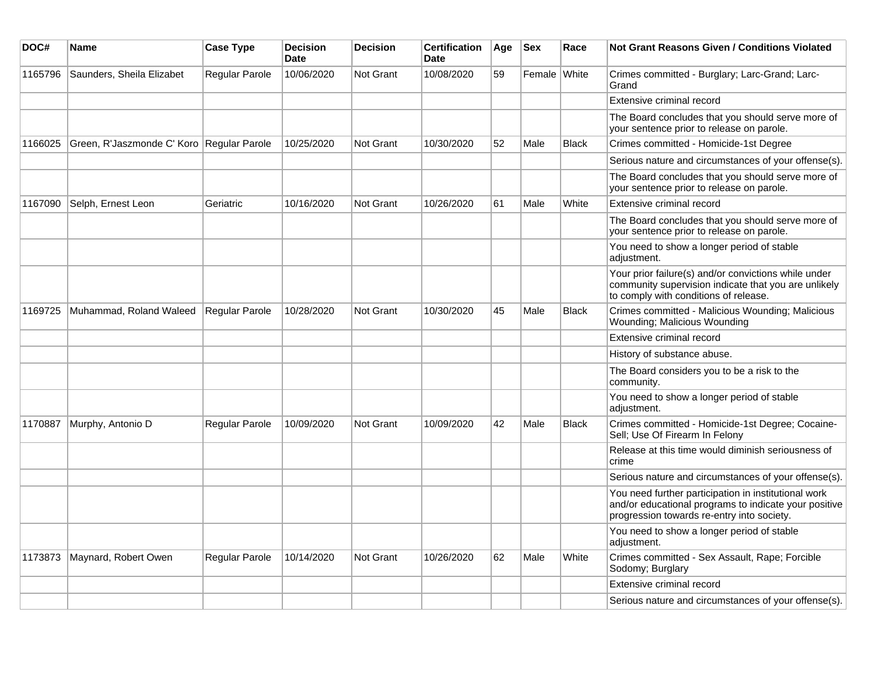| DOC#    | Name                                        | <b>Case Type</b>      | <b>Decision</b><br><b>Date</b> | <b>Decision</b> | <b>Certification</b><br>Date | Age | <b>Sex</b>   | Race         | Not Grant Reasons Given / Conditions Violated                                                                                                               |
|---------|---------------------------------------------|-----------------------|--------------------------------|-----------------|------------------------------|-----|--------------|--------------|-------------------------------------------------------------------------------------------------------------------------------------------------------------|
| 1165796 | Saunders, Sheila Elizabet                   | Regular Parole        | 10/06/2020                     | Not Grant       | 10/08/2020                   | 59  | Female White |              | Crimes committed - Burglary; Larc-Grand; Larc-<br>Grand                                                                                                     |
|         |                                             |                       |                                |                 |                              |     |              |              | Extensive criminal record                                                                                                                                   |
|         |                                             |                       |                                |                 |                              |     |              |              | The Board concludes that you should serve more of<br>your sentence prior to release on parole.                                                              |
| 1166025 | Green, R'Jaszmonde C' Koro   Regular Parole |                       | 10/25/2020                     | Not Grant       | 10/30/2020                   | 52  | Male         | <b>Black</b> | Crimes committed - Homicide-1st Degree                                                                                                                      |
|         |                                             |                       |                                |                 |                              |     |              |              | Serious nature and circumstances of your offense(s).                                                                                                        |
|         |                                             |                       |                                |                 |                              |     |              |              | The Board concludes that you should serve more of<br>your sentence prior to release on parole.                                                              |
| 1167090 | Selph, Ernest Leon                          | Geriatric             | 10/16/2020                     | Not Grant       | 10/26/2020                   | 61  | Male         | White        | Extensive criminal record                                                                                                                                   |
|         |                                             |                       |                                |                 |                              |     |              |              | The Board concludes that you should serve more of<br>your sentence prior to release on parole.                                                              |
|         |                                             |                       |                                |                 |                              |     |              |              | You need to show a longer period of stable<br>adjustment.                                                                                                   |
|         |                                             |                       |                                |                 |                              |     |              |              | Your prior failure(s) and/or convictions while under<br>community supervision indicate that you are unlikely<br>to comply with conditions of release.       |
| 1169725 | Muhammad, Roland Waleed                     | Regular Parole        | 10/28/2020                     | Not Grant       | 10/30/2020                   | 45  | Male         | <b>Black</b> | Crimes committed - Malicious Wounding; Malicious<br>Wounding; Malicious Wounding                                                                            |
|         |                                             |                       |                                |                 |                              |     |              |              | Extensive criminal record                                                                                                                                   |
|         |                                             |                       |                                |                 |                              |     |              |              | History of substance abuse.                                                                                                                                 |
|         |                                             |                       |                                |                 |                              |     |              |              | The Board considers you to be a risk to the<br>community.                                                                                                   |
|         |                                             |                       |                                |                 |                              |     |              |              | You need to show a longer period of stable<br>adjustment.                                                                                                   |
| 1170887 | Murphy, Antonio D                           | <b>Regular Parole</b> | 10/09/2020                     | Not Grant       | 10/09/2020                   | 42  | Male         | <b>Black</b> | Crimes committed - Homicide-1st Degree; Cocaine-<br>Sell; Use Of Firearm In Felony                                                                          |
|         |                                             |                       |                                |                 |                              |     |              |              | Release at this time would diminish seriousness of<br>crime                                                                                                 |
|         |                                             |                       |                                |                 |                              |     |              |              | Serious nature and circumstances of your offense(s).                                                                                                        |
|         |                                             |                       |                                |                 |                              |     |              |              | You need further participation in institutional work<br>and/or educational programs to indicate your positive<br>progression towards re-entry into society. |
|         |                                             |                       |                                |                 |                              |     |              |              | You need to show a longer period of stable<br>adjustment.                                                                                                   |
| 1173873 | Maynard, Robert Owen                        | Regular Parole        | 10/14/2020                     | Not Grant       | 10/26/2020                   | 62  | Male         | White        | Crimes committed - Sex Assault, Rape; Forcible<br>Sodomy; Burglary                                                                                          |
|         |                                             |                       |                                |                 |                              |     |              |              | Extensive criminal record                                                                                                                                   |
|         |                                             |                       |                                |                 |                              |     |              |              | Serious nature and circumstances of your offense(s).                                                                                                        |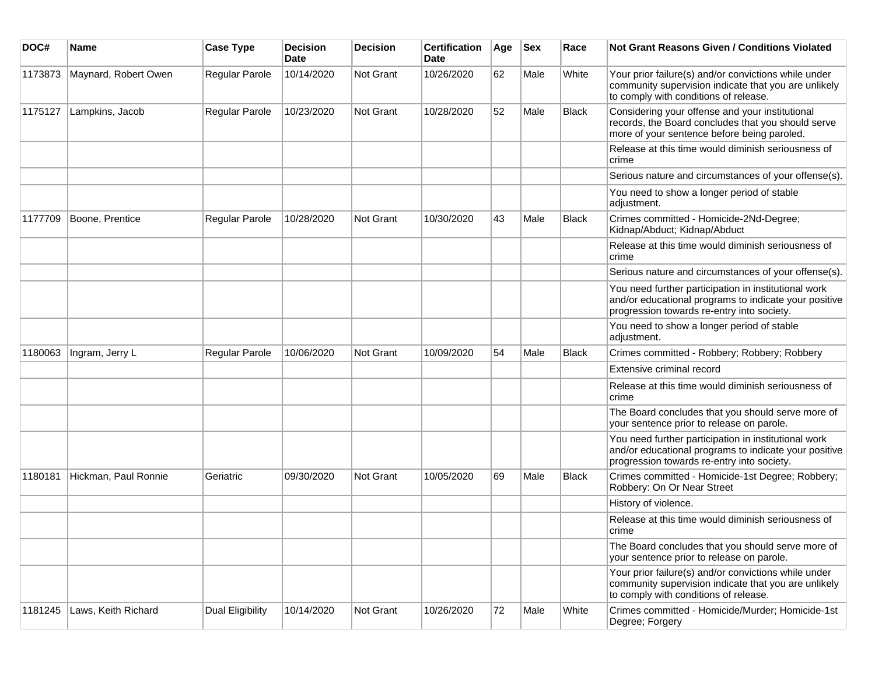| DOC#    | <b>Name</b>          | <b>Case Type</b> | <b>Decision</b><br><b>Date</b> | <b>Decision</b> | <b>Certification</b><br>Date | Age | <b>Sex</b> | Race         | <b>Not Grant Reasons Given / Conditions Violated</b>                                                                                                        |
|---------|----------------------|------------------|--------------------------------|-----------------|------------------------------|-----|------------|--------------|-------------------------------------------------------------------------------------------------------------------------------------------------------------|
| 1173873 | Maynard, Robert Owen | Regular Parole   | 10/14/2020                     | Not Grant       | 10/26/2020                   | 62  | Male       | White        | Your prior failure(s) and/or convictions while under<br>community supervision indicate that you are unlikely<br>to comply with conditions of release.       |
| 1175127 | Lampkins, Jacob      | Regular Parole   | 10/23/2020                     | Not Grant       | 10/28/2020                   | 52  | Male       | <b>Black</b> | Considering your offense and your institutional<br>records, the Board concludes that you should serve<br>more of your sentence before being paroled.        |
|         |                      |                  |                                |                 |                              |     |            |              | Release at this time would diminish seriousness of<br>crime                                                                                                 |
|         |                      |                  |                                |                 |                              |     |            |              | Serious nature and circumstances of your offense(s).                                                                                                        |
|         |                      |                  |                                |                 |                              |     |            |              | You need to show a longer period of stable<br>adjustment.                                                                                                   |
| 1177709 | Boone, Prentice      | Regular Parole   | 10/28/2020                     | Not Grant       | 10/30/2020                   | 43  | Male       | <b>Black</b> | Crimes committed - Homicide-2Nd-Degree;<br>Kidnap/Abduct; Kidnap/Abduct                                                                                     |
|         |                      |                  |                                |                 |                              |     |            |              | Release at this time would diminish seriousness of<br>crime                                                                                                 |
|         |                      |                  |                                |                 |                              |     |            |              | Serious nature and circumstances of your offense(s).                                                                                                        |
|         |                      |                  |                                |                 |                              |     |            |              | You need further participation in institutional work<br>and/or educational programs to indicate your positive<br>progression towards re-entry into society. |
|         |                      |                  |                                |                 |                              |     |            |              | You need to show a longer period of stable<br>adjustment.                                                                                                   |
| 1180063 | Ingram, Jerry L      | Regular Parole   | 10/06/2020                     | Not Grant       | 10/09/2020                   | 54  | Male       | Black        | Crimes committed - Robbery; Robbery; Robbery                                                                                                                |
|         |                      |                  |                                |                 |                              |     |            |              | Extensive criminal record                                                                                                                                   |
|         |                      |                  |                                |                 |                              |     |            |              | Release at this time would diminish seriousness of<br>crime                                                                                                 |
|         |                      |                  |                                |                 |                              |     |            |              | The Board concludes that you should serve more of<br>your sentence prior to release on parole.                                                              |
|         |                      |                  |                                |                 |                              |     |            |              | You need further participation in institutional work<br>and/or educational programs to indicate your positive<br>progression towards re-entry into society. |
| 1180181 | Hickman, Paul Ronnie | Geriatric        | 09/30/2020                     | Not Grant       | 10/05/2020                   | 69  | Male       | Black        | Crimes committed - Homicide-1st Degree; Robbery;<br>Robbery: On Or Near Street                                                                              |
|         |                      |                  |                                |                 |                              |     |            |              | History of violence.                                                                                                                                        |
|         |                      |                  |                                |                 |                              |     |            |              | Release at this time would diminish seriousness of<br>crime                                                                                                 |
|         |                      |                  |                                |                 |                              |     |            |              | The Board concludes that you should serve more of<br>your sentence prior to release on parole.                                                              |
|         |                      |                  |                                |                 |                              |     |            |              | Your prior failure(s) and/or convictions while under<br>community supervision indicate that you are unlikely<br>to comply with conditions of release.       |
| 1181245 | Laws, Keith Richard  | Dual Eligibility | 10/14/2020                     | Not Grant       | 10/26/2020                   | 72  | Male       | White        | Crimes committed - Homicide/Murder; Homicide-1st<br>Degree; Forgery                                                                                         |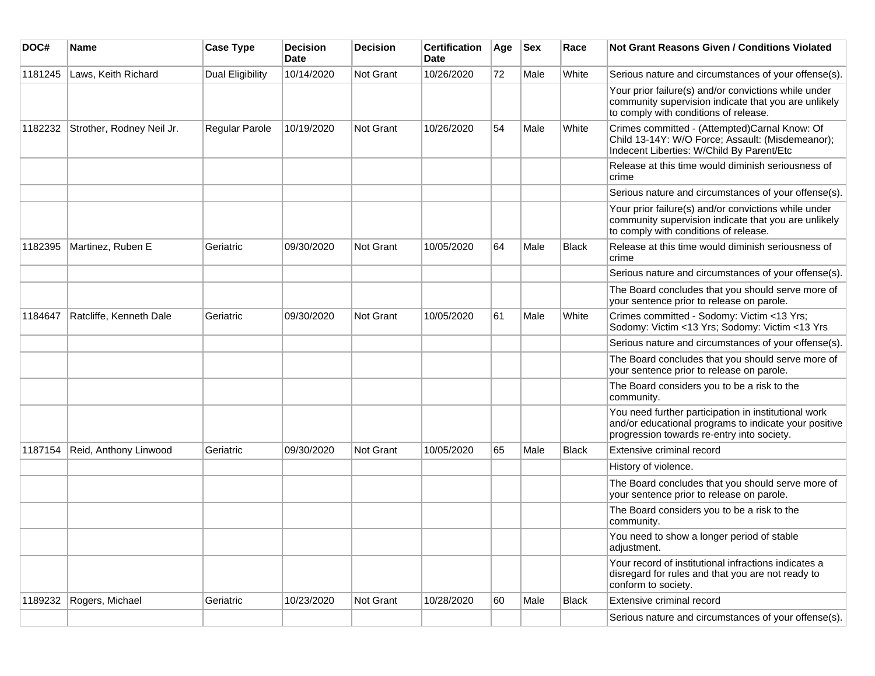| DOC#    | Name                      | <b>Case Type</b> | <b>Decision</b><br><b>Date</b> | <b>Decision</b>  | <b>Certification</b><br>Date | Age | <b>Sex</b> | Race         | Not Grant Reasons Given / Conditions Violated                                                                                                               |
|---------|---------------------------|------------------|--------------------------------|------------------|------------------------------|-----|------------|--------------|-------------------------------------------------------------------------------------------------------------------------------------------------------------|
| 1181245 | Laws, Keith Richard       | Dual Eligibility | 10/14/2020                     | Not Grant        | 10/26/2020                   | 72  | Male       | White        | Serious nature and circumstances of your offense(s).                                                                                                        |
|         |                           |                  |                                |                  |                              |     |            |              | Your prior failure(s) and/or convictions while under<br>community supervision indicate that you are unlikely<br>to comply with conditions of release.       |
| 1182232 | Strother, Rodney Neil Jr. | Regular Parole   | 10/19/2020                     | Not Grant        | 10/26/2020                   | 54  | Male       | White        | Crimes committed - (Attempted)Carnal Know: Of<br>Child 13-14Y: W/O Force; Assault: (Misdemeanor);<br>Indecent Liberties: W/Child By Parent/Etc              |
|         |                           |                  |                                |                  |                              |     |            |              | Release at this time would diminish seriousness of<br>crime                                                                                                 |
|         |                           |                  |                                |                  |                              |     |            |              | Serious nature and circumstances of your offense(s).                                                                                                        |
|         |                           |                  |                                |                  |                              |     |            |              | Your prior failure(s) and/or convictions while under<br>community supervision indicate that you are unlikely<br>to comply with conditions of release.       |
| 1182395 | Martinez, Ruben E         | Geriatric        | 09/30/2020                     | Not Grant        | 10/05/2020                   | 64  | Male       | <b>Black</b> | Release at this time would diminish seriousness of<br>crime                                                                                                 |
|         |                           |                  |                                |                  |                              |     |            |              | Serious nature and circumstances of your offense(s).                                                                                                        |
|         |                           |                  |                                |                  |                              |     |            |              | The Board concludes that you should serve more of<br>your sentence prior to release on parole.                                                              |
| 1184647 | Ratcliffe, Kenneth Dale   | Geriatric        | 09/30/2020                     | <b>Not Grant</b> | 10/05/2020                   | 61  | Male       | White        | Crimes committed - Sodomy: Victim <13 Yrs;<br>Sodomy: Victim <13 Yrs; Sodomy: Victim <13 Yrs                                                                |
|         |                           |                  |                                |                  |                              |     |            |              | Serious nature and circumstances of your offense(s).                                                                                                        |
|         |                           |                  |                                |                  |                              |     |            |              | The Board concludes that you should serve more of<br>your sentence prior to release on parole.                                                              |
|         |                           |                  |                                |                  |                              |     |            |              | The Board considers you to be a risk to the<br>community.                                                                                                   |
|         |                           |                  |                                |                  |                              |     |            |              | You need further participation in institutional work<br>and/or educational programs to indicate your positive<br>progression towards re-entry into society. |
| 1187154 | Reid, Anthony Linwood     | Geriatric        | 09/30/2020                     | Not Grant        | 10/05/2020                   | 65  | Male       | Black        | Extensive criminal record                                                                                                                                   |
|         |                           |                  |                                |                  |                              |     |            |              | History of violence.                                                                                                                                        |
|         |                           |                  |                                |                  |                              |     |            |              | The Board concludes that you should serve more of<br>your sentence prior to release on parole.                                                              |
|         |                           |                  |                                |                  |                              |     |            |              | The Board considers you to be a risk to the<br>community.                                                                                                   |
|         |                           |                  |                                |                  |                              |     |            |              | You need to show a longer period of stable<br>adjustment.                                                                                                   |
|         |                           |                  |                                |                  |                              |     |            |              | Your record of institutional infractions indicates a<br>disregard for rules and that you are not ready to<br>conform to society.                            |
| 1189232 | Rogers, Michael           | Geriatric        | 10/23/2020                     | Not Grant        | 10/28/2020                   | 60  | Male       | Black        | Extensive criminal record                                                                                                                                   |
|         |                           |                  |                                |                  |                              |     |            |              | Serious nature and circumstances of your offense(s).                                                                                                        |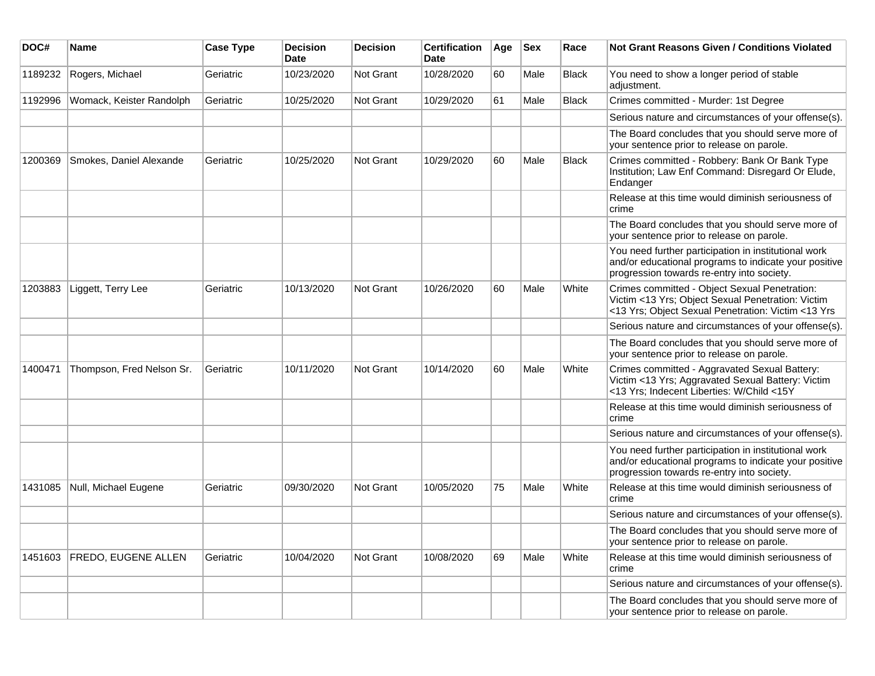| DOC#    | <b>Name</b>                | <b>Case Type</b> | <b>Decision</b><br><b>Date</b> | <b>Decision</b> | <b>Certification</b><br>Date | Age | <b>Sex</b> | Race         | <b>Not Grant Reasons Given / Conditions Violated</b>                                                                                                        |
|---------|----------------------------|------------------|--------------------------------|-----------------|------------------------------|-----|------------|--------------|-------------------------------------------------------------------------------------------------------------------------------------------------------------|
| 1189232 | Rogers, Michael            | Geriatric        | 10/23/2020                     | Not Grant       | 10/28/2020                   | 60  | Male       | Black        | You need to show a longer period of stable<br>adjustment.                                                                                                   |
| 1192996 | Womack, Keister Randolph   | Geriatric        | 10/25/2020                     | Not Grant       | 10/29/2020                   | 61  | Male       | <b>Black</b> | Crimes committed - Murder: 1st Degree                                                                                                                       |
|         |                            |                  |                                |                 |                              |     |            |              | Serious nature and circumstances of your offense(s).                                                                                                        |
|         |                            |                  |                                |                 |                              |     |            |              | The Board concludes that you should serve more of<br>your sentence prior to release on parole.                                                              |
| 1200369 | Smokes, Daniel Alexande    | Geriatric        | 10/25/2020                     | Not Grant       | 10/29/2020                   | 60  | Male       | <b>Black</b> | Crimes committed - Robbery: Bank Or Bank Type<br>Institution; Law Enf Command: Disregard Or Elude,<br>Endanger                                              |
|         |                            |                  |                                |                 |                              |     |            |              | Release at this time would diminish seriousness of<br>crime                                                                                                 |
|         |                            |                  |                                |                 |                              |     |            |              | The Board concludes that you should serve more of<br>your sentence prior to release on parole.                                                              |
|         |                            |                  |                                |                 |                              |     |            |              | You need further participation in institutional work<br>and/or educational programs to indicate your positive<br>progression towards re-entry into society. |
| 1203883 | Liggett, Terry Lee         | Geriatric        | 10/13/2020                     | Not Grant       | 10/26/2020                   | 60  | Male       | White        | Crimes committed - Object Sexual Penetration:<br>Victim <13 Yrs; Object Sexual Penetration: Victim<br><13 Yrs; Object Sexual Penetration: Victim <13 Yrs    |
|         |                            |                  |                                |                 |                              |     |            |              | Serious nature and circumstances of your offense(s).                                                                                                        |
|         |                            |                  |                                |                 |                              |     |            |              | The Board concludes that you should serve more of<br>your sentence prior to release on parole.                                                              |
| 1400471 | Thompson, Fred Nelson Sr.  | Geriatric        | 10/11/2020                     | Not Grant       | 10/14/2020                   | 60  | Male       | White        | Crimes committed - Aggravated Sexual Battery:<br>Victim <13 Yrs; Aggravated Sexual Battery: Victim<br><13 Yrs; Indecent Liberties: W/Child <15Y             |
|         |                            |                  |                                |                 |                              |     |            |              | Release at this time would diminish seriousness of<br>crime                                                                                                 |
|         |                            |                  |                                |                 |                              |     |            |              | Serious nature and circumstances of your offense(s).                                                                                                        |
|         |                            |                  |                                |                 |                              |     |            |              | You need further participation in institutional work<br>and/or educational programs to indicate your positive<br>progression towards re-entry into society. |
| 1431085 | Null, Michael Eugene       | Geriatric        | 09/30/2020                     | Not Grant       | 10/05/2020                   | 75  | Male       | White        | Release at this time would diminish seriousness of<br>crime                                                                                                 |
|         |                            |                  |                                |                 |                              |     |            |              | Serious nature and circumstances of your offense(s).                                                                                                        |
|         |                            |                  |                                |                 |                              |     |            |              | The Board concludes that you should serve more of<br>your sentence prior to release on parole.                                                              |
| 1451603 | <b>FREDO, EUGENE ALLEN</b> | Geriatric        | 10/04/2020                     | Not Grant       | 10/08/2020                   | 69  | Male       | White        | Release at this time would diminish seriousness of<br>crime                                                                                                 |
|         |                            |                  |                                |                 |                              |     |            |              | Serious nature and circumstances of your offense(s).                                                                                                        |
|         |                            |                  |                                |                 |                              |     |            |              | The Board concludes that you should serve more of<br>your sentence prior to release on parole.                                                              |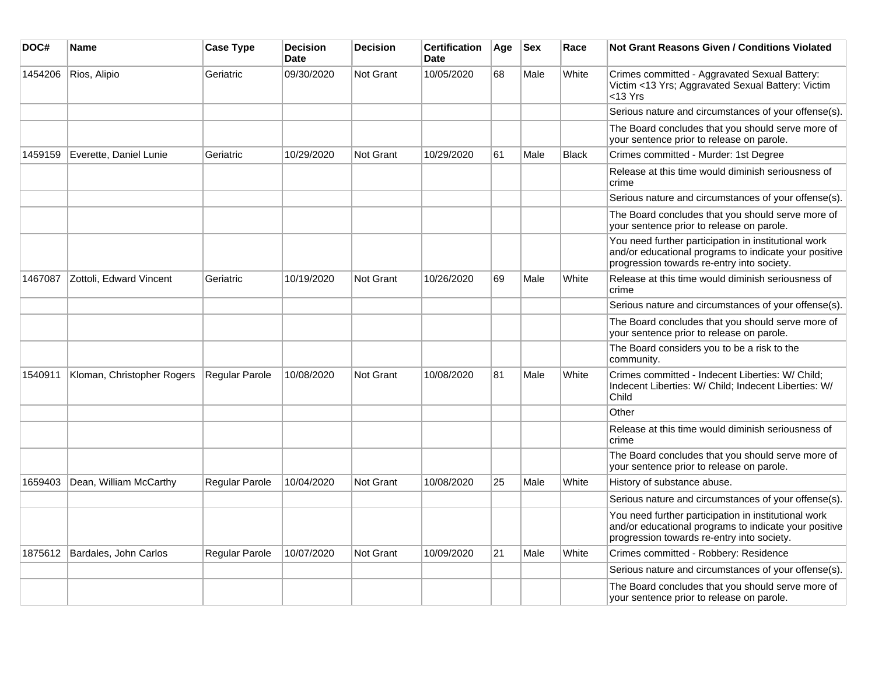| DOC#    | <b>Name</b>                | <b>Case Type</b> | <b>Decision</b><br>Date | <b>Decision</b> | <b>Certification</b><br>Date | Age | <b>Sex</b> | Race         | <b>Not Grant Reasons Given / Conditions Violated</b>                                                                                                        |
|---------|----------------------------|------------------|-------------------------|-----------------|------------------------------|-----|------------|--------------|-------------------------------------------------------------------------------------------------------------------------------------------------------------|
| 1454206 | Rios, Alipio               | Geriatric        | 09/30/2020              | Not Grant       | 10/05/2020                   | 68  | Male       | White        | Crimes committed - Aggravated Sexual Battery:<br>Victim <13 Yrs; Aggravated Sexual Battery: Victim<br><13 Yrs                                               |
|         |                            |                  |                         |                 |                              |     |            |              | Serious nature and circumstances of your offense(s).                                                                                                        |
|         |                            |                  |                         |                 |                              |     |            |              | The Board concludes that you should serve more of<br>your sentence prior to release on parole.                                                              |
| 1459159 | Everette, Daniel Lunie     | Geriatric        | 10/29/2020              | Not Grant       | 10/29/2020                   | 61  | Male       | <b>Black</b> | Crimes committed - Murder: 1st Degree                                                                                                                       |
|         |                            |                  |                         |                 |                              |     |            |              | Release at this time would diminish seriousness of<br>crime                                                                                                 |
|         |                            |                  |                         |                 |                              |     |            |              | Serious nature and circumstances of your offense(s).                                                                                                        |
|         |                            |                  |                         |                 |                              |     |            |              | The Board concludes that you should serve more of<br>your sentence prior to release on parole.                                                              |
|         |                            |                  |                         |                 |                              |     |            |              | You need further participation in institutional work<br>and/or educational programs to indicate your positive<br>progression towards re-entry into society. |
| 1467087 | Zottoli, Edward Vincent    | Geriatric        | 10/19/2020              | Not Grant       | 10/26/2020                   | 69  | Male       | White        | Release at this time would diminish seriousness of<br>crime                                                                                                 |
|         |                            |                  |                         |                 |                              |     |            |              | Serious nature and circumstances of your offense(s).                                                                                                        |
|         |                            |                  |                         |                 |                              |     |            |              | The Board concludes that you should serve more of<br>your sentence prior to release on parole.                                                              |
|         |                            |                  |                         |                 |                              |     |            |              | The Board considers you to be a risk to the<br>community.                                                                                                   |
| 1540911 | Kloman, Christopher Rogers | Regular Parole   | 10/08/2020              | Not Grant       | 10/08/2020                   | 81  | Male       | White        | Crimes committed - Indecent Liberties: W/ Child;<br>Indecent Liberties: W/ Child; Indecent Liberties: W/<br>Child                                           |
|         |                            |                  |                         |                 |                              |     |            |              | Other                                                                                                                                                       |
|         |                            |                  |                         |                 |                              |     |            |              | Release at this time would diminish seriousness of<br>crime                                                                                                 |
|         |                            |                  |                         |                 |                              |     |            |              | The Board concludes that you should serve more of<br>your sentence prior to release on parole.                                                              |
| 1659403 | Dean, William McCarthy     | Regular Parole   | 10/04/2020              | Not Grant       | 10/08/2020                   | 25  | Male       | White        | History of substance abuse.                                                                                                                                 |
|         |                            |                  |                         |                 |                              |     |            |              | Serious nature and circumstances of your offense(s).                                                                                                        |
|         |                            |                  |                         |                 |                              |     |            |              | You need further participation in institutional work<br>and/or educational programs to indicate your positive<br>progression towards re-entry into society. |
| 1875612 | Bardales, John Carlos      | Regular Parole   | 10/07/2020              | Not Grant       | 10/09/2020                   | 21  | Male       | White        | Crimes committed - Robbery: Residence                                                                                                                       |
|         |                            |                  |                         |                 |                              |     |            |              | Serious nature and circumstances of your offense(s).                                                                                                        |
|         |                            |                  |                         |                 |                              |     |            |              | The Board concludes that you should serve more of<br>your sentence prior to release on parole.                                                              |